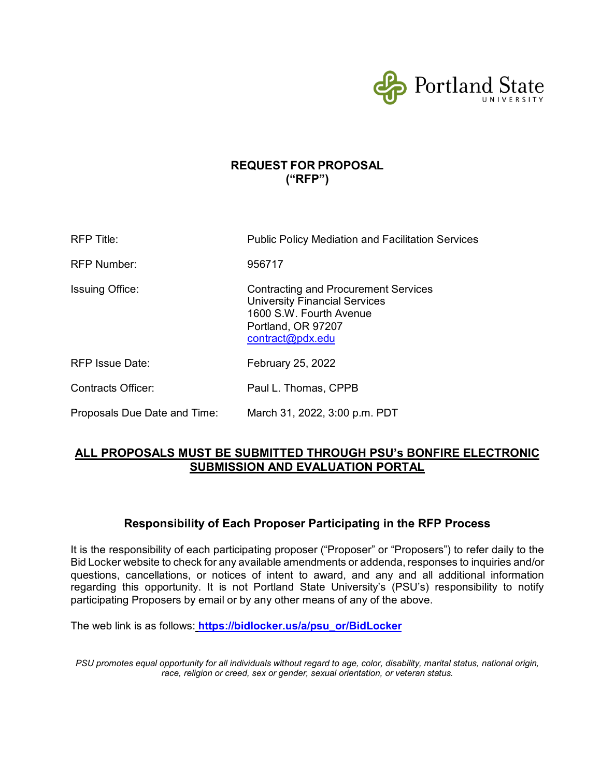

## **REQUEST FOR PROPOSAL ("RFP")**

| RFP Title:                   | <b>Public Policy Mediation and Facilitation Services</b>                                                                                                 |
|------------------------------|----------------------------------------------------------------------------------------------------------------------------------------------------------|
| <b>RFP Number:</b>           | 956717                                                                                                                                                   |
| <b>Issuing Office:</b>       | <b>Contracting and Procurement Services</b><br><b>University Financial Services</b><br>1600 S.W. Fourth Avenue<br>Portland, OR 97207<br>contract@pdx.edu |
| <b>RFP Issue Date:</b>       | February 25, 2022                                                                                                                                        |
| <b>Contracts Officer:</b>    | Paul L. Thomas, CPPB                                                                                                                                     |
| Proposals Due Date and Time: | March 31, 2022, 3:00 p.m. PDT                                                                                                                            |

## **ALL PROPOSALS MUST BE SUBMITTED THROUGH PSU's BONFIRE ELECTRONIC SUBMISSION AND EVALUATION PORTAL**

## **Responsibility of Each Proposer Participating in the RFP Process**

It is the responsibility of each participating proposer ("Proposer" or "Proposers") to refer daily to the Bid Locker website to check for any available amendments or addenda, responses to inquiries and/or questions, cancellations, or notices of intent to award, and any and all additional information regarding this opportunity. It is not Portland State University's (PSU's) responsibility to notify participating Proposers by email or by any other means of any of the above.

The web link is as follows: **[https://bidlocker.us/a/psu\\_or/BidLocker](https://bidlocker.us/a/psu_or/BidLocker)**

*PSU promotes equal opportunity for all individuals without regard to age, color, disability, marital status, national origin, race, religion or creed, sex or gender, sexual orientation, or veteran status.*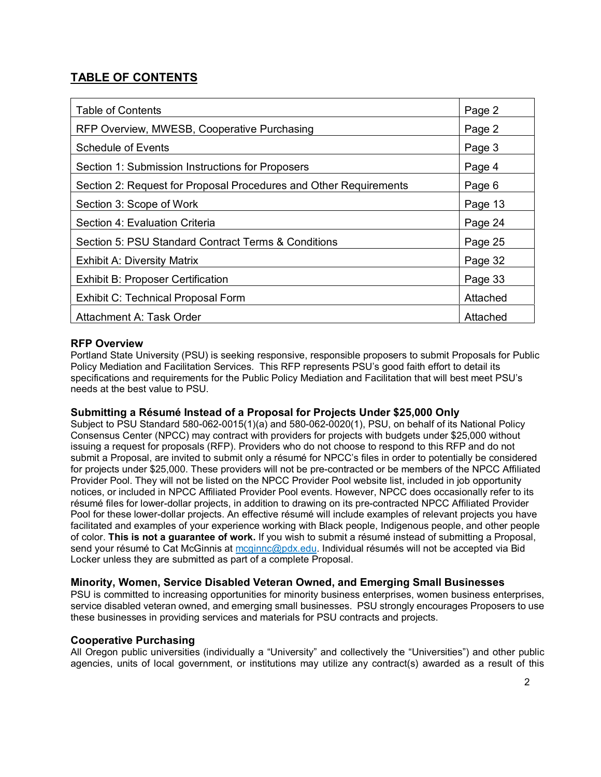# **TABLE OF CONTENTS**

| Table of Contents                                                 | Page 2   |
|-------------------------------------------------------------------|----------|
| RFP Overview, MWESB, Cooperative Purchasing                       | Page 2   |
| <b>Schedule of Events</b>                                         | Page 3   |
| Section 1: Submission Instructions for Proposers                  | Page 4   |
| Section 2: Request for Proposal Procedures and Other Requirements | Page 6   |
| Section 3: Scope of Work                                          | Page 13  |
| Section 4: Evaluation Criteria                                    | Page 24  |
| Section 5: PSU Standard Contract Terms & Conditions               | Page 25  |
| <b>Exhibit A: Diversity Matrix</b>                                | Page 32  |
| <b>Exhibit B: Proposer Certification</b>                          | Page 33  |
| Exhibit C: Technical Proposal Form                                | Attached |
| Attachment A: Task Order                                          | Attached |

## **RFP Overview**

Portland State University (PSU) is seeking responsive, responsible proposers to submit Proposals for Public Policy Mediation and Facilitation Services. This RFP represents PSU's good faith effort to detail its specifications and requirements for the Public Policy Mediation and Facilitation that will best meet PSU's needs at the best value to PSU.

## **Submitting a Résumé Instead of a Proposal for Projects Under \$25,000 Only**

Subject to PSU Standard 580-062-0015(1)(a) and 580-062-0020(1), PSU, on behalf of its National Policy Consensus Center (NPCC) may contract with providers for projects with budgets under \$25,000 without issuing a request for proposals (RFP). Providers who do not choose to respond to this RFP and do not submit a Proposal, are invited to submit only a résumé for NPCC's files in order to potentially be considered for projects under \$25,000. These providers will not be pre-contracted or be members of the NPCC Affiliated Provider Pool. They will not be listed on the NPCC Provider Pool website list, included in job opportunity notices, or included in NPCC Affiliated Provider Pool events. However, NPCC does occasionally refer to its résumé files for lower-dollar projects, in addition to drawing on its pre-contracted NPCC Affiliated Provider Pool for these lower-dollar projects. An effective résumé will include examples of relevant projects you have facilitated and examples of your experience working with Black people, Indigenous people, and other people of color. **This is not a guarantee of work.** If you wish to submit a résumé instead of submitting a Proposal, send your résumé to Cat McGinnis at mcginnc@pdx.edu. Individual résumés will not be accepted via Bid Locker unless they are submitted as part of a complete Proposal.

### **Minority, Women, Service Disabled Veteran Owned, and Emerging Small Businesses**

PSU is committed to increasing opportunities for minority business enterprises, women business enterprises, service disabled veteran owned, and emerging small businesses. PSU strongly encourages Proposers to use these businesses in providing services and materials for PSU contracts and projects.

## **Cooperative Purchasing**

All Oregon public universities (individually a "University" and collectively the "Universities") and other public agencies, units of local government, or institutions may utilize any contract(s) awarded as a result of this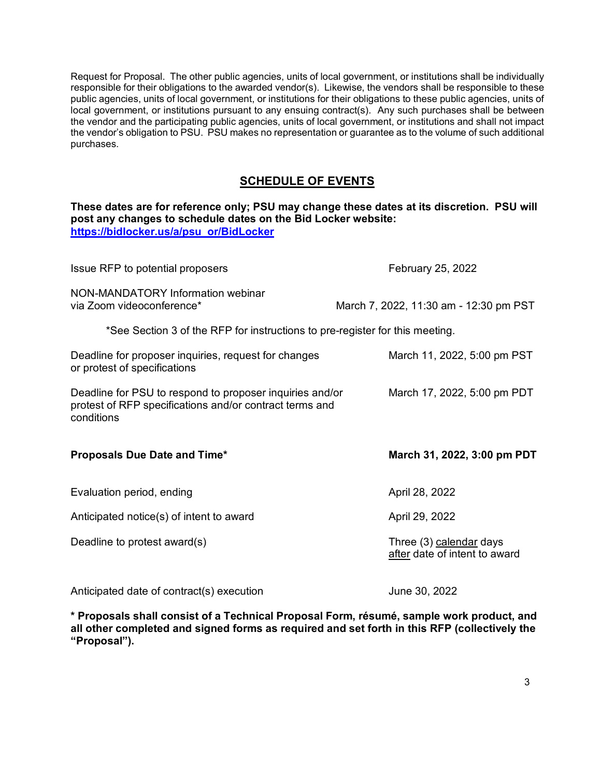Request for Proposal. The other public agencies, units of local government, or institutions shall be individually responsible for their obligations to the awarded vendor(s). Likewise, the vendors shall be responsible to these public agencies, units of local government, or institutions for their obligations to these public agencies, units of local government, or institutions pursuant to any ensuing contract(s). Any such purchases shall be between the vendor and the participating public agencies, units of local government, or institutions and shall not impact the vendor's obligation to PSU. PSU makes no representation or guarantee as to the volume of such additional purchases.

## **SCHEDULE OF EVENTS**

**These dates are for reference only; PSU may change these dates at its discretion. PSU will post any changes to schedule dates on the Bid Locker website: [https://bidlocker.us/a/psu\\_or/BidLocker](https://bidlocker.us/a/psu_or/BidLocker)**

| Issue RFP to potential proposers                                                                                                  | February 25, 2022                                        |
|-----------------------------------------------------------------------------------------------------------------------------------|----------------------------------------------------------|
| NON-MANDATORY Information webinar<br>via Zoom videoconference*                                                                    | March 7, 2022, 11:30 am - 12:30 pm PST                   |
| *See Section 3 of the RFP for instructions to pre-register for this meeting.                                                      |                                                          |
| Deadline for proposer inquiries, request for changes<br>or protest of specifications                                              | March 11, 2022, 5:00 pm PST                              |
| Deadline for PSU to respond to proposer inquiries and/or<br>protest of RFP specifications and/or contract terms and<br>conditions | March 17, 2022, 5:00 pm PDT                              |
|                                                                                                                                   |                                                          |
| Proposals Due Date and Time*                                                                                                      | March 31, 2022, 3:00 pm PDT                              |
| Evaluation period, ending                                                                                                         | April 28, 2022                                           |
| Anticipated notice(s) of intent to award                                                                                          | April 29, 2022                                           |
| Deadline to protest award(s)                                                                                                      | Three (3) calendar days<br>after date of intent to award |

**\* Proposals shall consist of a Technical Proposal Form, résumé, sample work product, and all other completed and signed forms as required and set forth in this RFP (collectively the "Proposal").**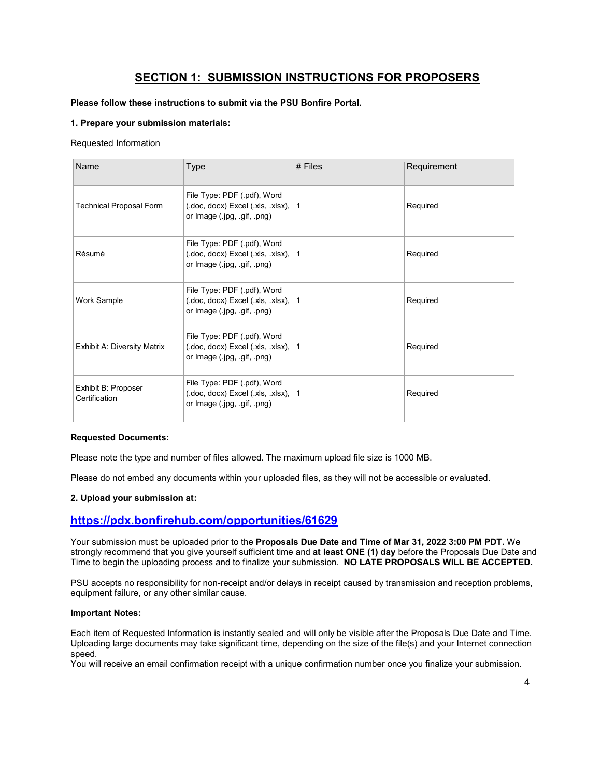## **SECTION 1: SUBMISSION INSTRUCTIONS FOR PROPOSERS**

#### **Please follow these instructions to submit via the PSU Bonfire Portal.**

#### **1. Prepare your submission materials:**

#### Requested Information

| Name                                 | <b>Type</b>                                                                                                                           | $#$ Files    | Requirement |
|--------------------------------------|---------------------------------------------------------------------------------------------------------------------------------------|--------------|-------------|
| <b>Technical Proposal Form</b>       | File Type: PDF (.pdf), Word<br>$($ .doc, docx $)$ Excel $($ .xls, $\overline{\phantom{a}}$ .xlsx $)$ ,<br>or Image (.jpg, .gif, .png) | 1            | Required    |
| Résumé                               | File Type: PDF (.pdf), Word<br>(.doc, docx) Excel (.xls, .xlsx),<br>or Image (.jpg, .gif, .png)                                       | $\mathbf{1}$ | Required    |
| Work Sample                          | File Type: PDF (.pdf), Word<br>(.doc, docx) Excel (.xls, .xlsx),<br>or Image (.jpg, .gif, .png)                                       | $\mathbf{1}$ | Required    |
| <b>Exhibit A: Diversity Matrix</b>   | File Type: PDF (.pdf), Word<br>(.doc, docx) Excel (.xls, .xlsx),<br>or Image (.jpg, .gif, .png)                                       | $\mathbf{1}$ | Required    |
| Exhibit B: Proposer<br>Certification | File Type: PDF (.pdf), Word<br>(.doc, docx) Excel (.xls, .xlsx),<br>or Image (.jpg, .gif, .png)                                       | 1            | Required    |

#### **Requested Documents:**

Please note the type and number of files allowed. The maximum upload file size is 1000 MB.

Please do not embed any documents within your uploaded files, as they will not be accessible or evaluated.

#### **2. Upload your submission at:**

## **<https://pdx.bonfirehub.com/opportunities/61629>**

Your submission must be uploaded prior to the **Proposals Due Date and Time of Mar 31, 2022 3:00 PM PDT.** We strongly recommend that you give yourself sufficient time and **at least ONE (1) day** before the Proposals Due Date and Time to begin the uploading process and to finalize your submission. **NO LATE PROPOSALS WILL BE ACCEPTED.**

PSU accepts no responsibility for non-receipt and/or delays in receipt caused by transmission and reception problems, equipment failure, or any other similar cause.

#### **Important Notes:**

Each item of Requested Information is instantly sealed and will only be visible after the Proposals Due Date and Time. Uploading large documents may take significant time, depending on the size of the file(s) and your Internet connection speed.

You will receive an email confirmation receipt with a unique confirmation number once you finalize your submission.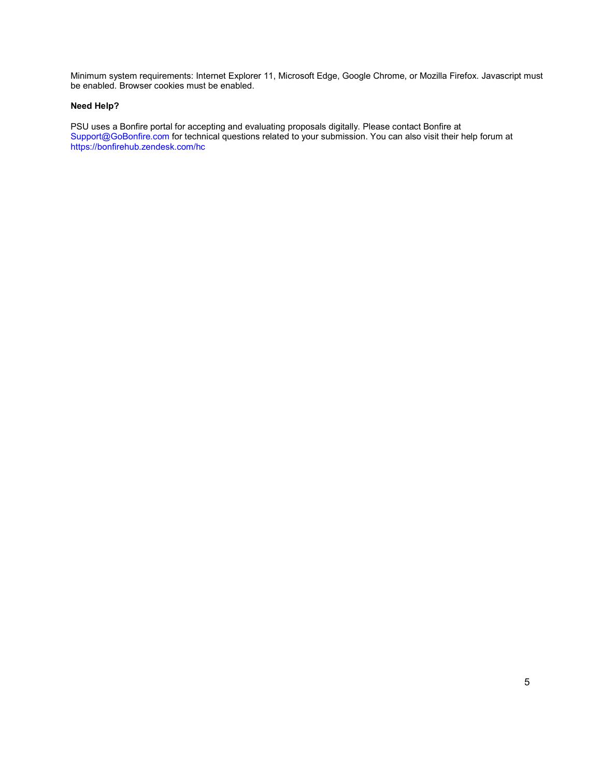Minimum system requirements: Internet Explorer 11, Microsoft Edge, Google Chrome, or Mozilla Firefox. Javascript must be enabled. Browser cookies must be enabled.

#### **Need Help?**

PSU uses a Bonfire portal for accepting and evaluating proposals digitally. Please contact Bonfire at [Support@GoBonfire.com](mailto:support@gobonfire.com) for technical questions related to your submission. You can also visit their help forum at <https://bonfirehub.zendesk.com/hc>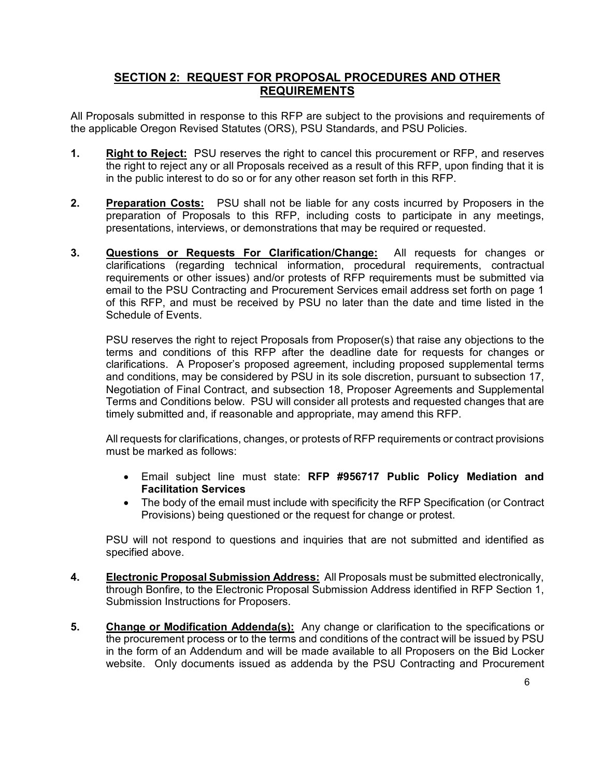## **SECTION 2: REQUEST FOR PROPOSAL PROCEDURES AND OTHER REQUIREMENTS**

All Proposals submitted in response to this RFP are subject to the provisions and requirements of the applicable Oregon Revised Statutes (ORS), PSU Standards, and PSU Policies.

- **1. Right to Reject:** PSU reserves the right to cancel this procurement or RFP, and reserves the right to reject any or all Proposals received as a result of this RFP, upon finding that it is in the public interest to do so or for any other reason set forth in this RFP.
- **2. Preparation Costs:** PSU shall not be liable for any costs incurred by Proposers in the preparation of Proposals to this RFP, including costs to participate in any meetings, presentations, interviews, or demonstrations that may be required or requested.
- **3. Questions or Requests For Clarification/Change:** All requests for changes or clarifications (regarding technical information, procedural requirements, contractual requirements or other issues) and/or protests of RFP requirements must be submitted via email to the PSU Contracting and Procurement Services email address set forth on page 1 of this RFP, and must be received by PSU no later than the date and time listed in the Schedule of Events.

PSU reserves the right to reject Proposals from Proposer(s) that raise any objections to the terms and conditions of this RFP after the deadline date for requests for changes or clarifications. A Proposer's proposed agreement, including proposed supplemental terms and conditions, may be considered by PSU in its sole discretion, pursuant to subsection 17, Negotiation of Final Contract, and subsection 18, Proposer Agreements and Supplemental Terms and Conditions below. PSU will consider all protests and requested changes that are timely submitted and, if reasonable and appropriate, may amend this RFP.

All requests for clarifications, changes, or protests of RFP requirements or contract provisions must be marked as follows:

- Email subject line must state: **RFP #956717 Public Policy Mediation and Facilitation Services**
- The body of the email must include with specificity the RFP Specification (or Contract Provisions) being questioned or the request for change or protest.

PSU will not respond to questions and inquiries that are not submitted and identified as specified above.

- **4. Electronic Proposal Submission Address:** All Proposals must be submitted electronically, through Bonfire, to the Electronic Proposal Submission Address identified in RFP Section 1, Submission Instructions for Proposers.
- **5. Change or Modification Addenda(s):** Any change or clarification to the specifications or the procurement process or to the terms and conditions of the contract will be issued by PSU in the form of an Addendum and will be made available to all Proposers on the Bid Locker website. Only documents issued as addenda by the PSU Contracting and Procurement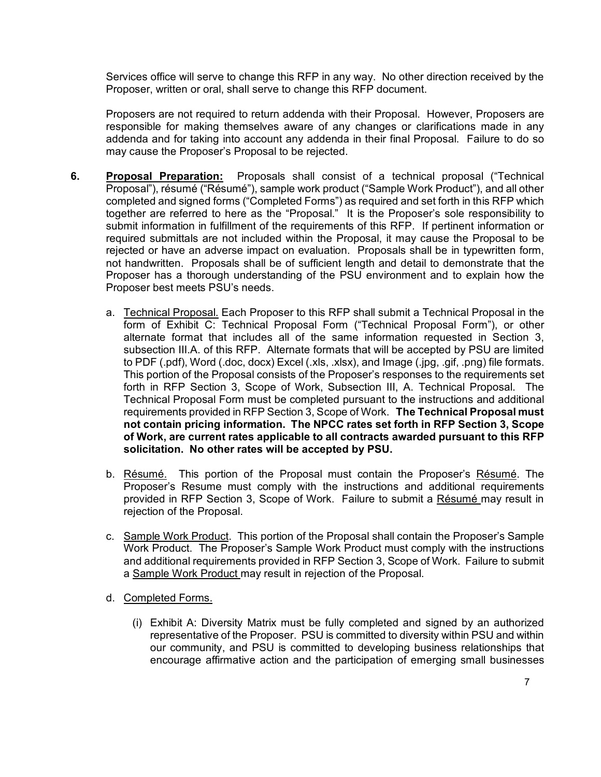Services office will serve to change this RFP in any way. No other direction received by the Proposer, written or oral, shall serve to change this RFP document.

Proposers are not required to return addenda with their Proposal. However, Proposers are responsible for making themselves aware of any changes or clarifications made in any addenda and for taking into account any addenda in their final Proposal. Failure to do so may cause the Proposer's Proposal to be rejected.

- **6. Proposal Preparation:** Proposals shall consist of a technical proposal ("Technical Proposal"), résumé ("Résumé"), sample work product ("Sample Work Product"), and all other completed and signed forms ("Completed Forms") as required and set forth in this RFP which together are referred to here as the "Proposal." It is the Proposer's sole responsibility to submit information in fulfillment of the requirements of this RFP. If pertinent information or required submittals are not included within the Proposal, it may cause the Proposal to be rejected or have an adverse impact on evaluation. Proposals shall be in typewritten form, not handwritten. Proposals shall be of sufficient length and detail to demonstrate that the Proposer has a thorough understanding of the PSU environment and to explain how the Proposer best meets PSU's needs.
	- a. Technical Proposal. Each Proposer to this RFP shall submit a Technical Proposal in the form of Exhibit C: Technical Proposal Form ("Technical Proposal Form"), or other alternate format that includes all of the same information requested in Section 3, subsection III.A. of this RFP. Alternate formats that will be accepted by PSU are limited to PDF (.pdf), Word (.doc, docx) Excel (.xls, .xlsx), and Image (.jpg, .gif, .png) file formats. This portion of the Proposal consists of the Proposer's responses to the requirements set forth in RFP Section 3, Scope of Work, Subsection III, A. Technical Proposal. The Technical Proposal Form must be completed pursuant to the instructions and additional requirements provided in RFP Section 3, Scope of Work. **The Technical Proposal must not contain pricing information. The NPCC rates set forth in RFP Section 3, Scope of Work, are current rates applicable to all contracts awarded pursuant to this RFP solicitation. No other rates will be accepted by PSU.**
	- b. Résumé. This portion of the Proposal must contain the Proposer's Résumé. The Proposer's Resume must comply with the instructions and additional requirements provided in RFP Section 3, Scope of Work. Failure to submit a Résumé may result in rejection of the Proposal.
	- c. Sample Work Product. This portion of the Proposal shall contain the Proposer's Sample Work Product. The Proposer's Sample Work Product must comply with the instructions and additional requirements provided in RFP Section 3, Scope of Work. Failure to submit a Sample Work Product may result in rejection of the Proposal.
	- d. Completed Forms.
		- (i) Exhibit A: Diversity Matrix must be fully completed and signed by an authorized representative of the Proposer. PSU is committed to diversity within PSU and within our community, and PSU is committed to developing business relationships that encourage affirmative action and the participation of emerging small businesses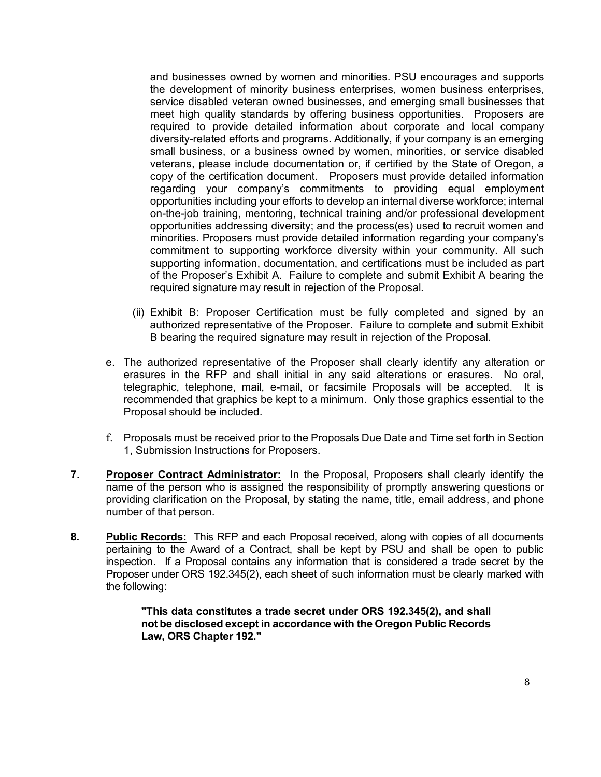and businesses owned by women and minorities. PSU encourages and supports the development of minority business enterprises, women business enterprises, service disabled veteran owned businesses, and emerging small businesses that meet high quality standards by offering business opportunities. Proposers are required to provide detailed information about corporate and local company diversity-related efforts and programs. Additionally, if your company is an emerging small business, or a business owned by women, minorities, or service disabled veterans, please include documentation or, if certified by the State of Oregon, a copy of the certification document. Proposers must provide detailed information regarding your company's commitments to providing equal employment opportunities including your efforts to develop an internal diverse workforce; internal on-the-job training, mentoring, technical training and/or professional development opportunities addressing diversity; and the process(es) used to recruit women and minorities. Proposers must provide detailed information regarding your company's commitment to supporting workforce diversity within your community. All such supporting information, documentation, and certifications must be included as part of the Proposer's Exhibit A. Failure to complete and submit Exhibit A bearing the required signature may result in rejection of the Proposal.

- (ii) Exhibit B: Proposer Certification must be fully completed and signed by an authorized representative of the Proposer. Failure to complete and submit Exhibit B bearing the required signature may result in rejection of the Proposal.
- e. The authorized representative of the Proposer shall clearly identify any alteration or erasures in the RFP and shall initial in any said alterations or erasures. No oral, telegraphic, telephone, mail, e-mail, or facsimile Proposals will be accepted. It is recommended that graphics be kept to a minimum. Only those graphics essential to the Proposal should be included.
- f. Proposals must be received prior to the Proposals Due Date and Time set forth in Section 1, Submission Instructions for Proposers.
- **7. Proposer Contract Administrator:** In the Proposal, Proposers shall clearly identify the name of the person who is assigned the responsibility of promptly answering questions or providing clarification on the Proposal, by stating the name, title, email address, and phone number of that person.
- **8. Public Records:** This RFP and each Proposal received, along with copies of all documents pertaining to the Award of a Contract, shall be kept by PSU and shall be open to public inspection. If a Proposal contains any information that is considered a trade secret by the Proposer under ORS 192.345(2), each sheet of such information must be clearly marked with the following:

**"This data constitutes a trade secret under ORS 192.345(2), and shall not be disclosed except in accordance with the Oregon Public Records Law, ORS Chapter 192."**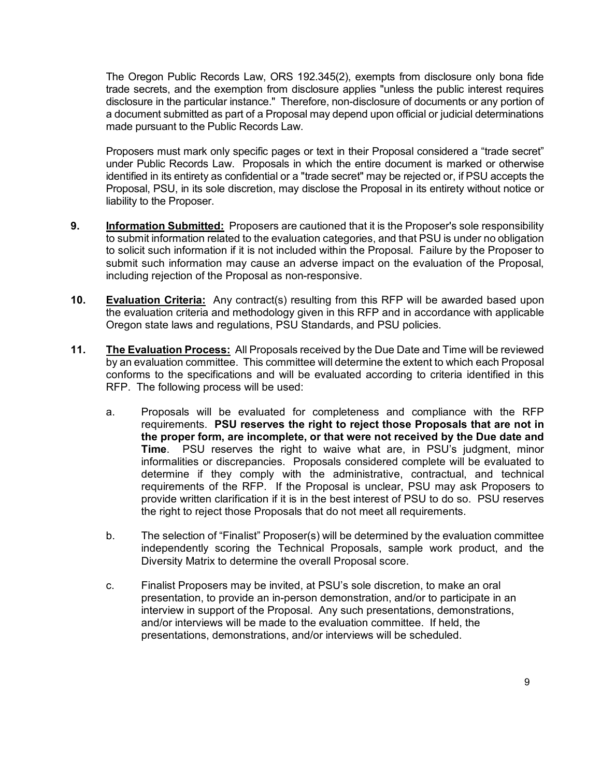The Oregon Public Records Law, ORS 192.345(2), exempts from disclosure only bona fide trade secrets, and the exemption from disclosure applies "unless the public interest requires disclosure in the particular instance." Therefore, non-disclosure of documents or any portion of a document submitted as part of a Proposal may depend upon official or judicial determinations made pursuant to the Public Records Law.

Proposers must mark only specific pages or text in their Proposal considered a "trade secret" under Public Records Law. Proposals in which the entire document is marked or otherwise identified in its entirety as confidential or a "trade secret" may be rejected or, if PSU accepts the Proposal, PSU, in its sole discretion, may disclose the Proposal in its entirety without notice or liability to the Proposer.

- **9. Information Submitted:** Proposers are cautioned that it is the Proposer's sole responsibility to submit information related to the evaluation categories, and that PSU is under no obligation to solicit such information if it is not included within the Proposal. Failure by the Proposer to submit such information may cause an adverse impact on the evaluation of the Proposal, including rejection of the Proposal as non-responsive.
- **10. Evaluation Criteria:** Any contract(s) resulting from this RFP will be awarded based upon the evaluation criteria and methodology given in this RFP and in accordance with applicable Oregon state laws and regulations, PSU Standards, and PSU policies.
- **11. The Evaluation Process:** All Proposals received by the Due Date and Time will be reviewed by an evaluation committee. This committee will determine the extent to which each Proposal conforms to the specifications and will be evaluated according to criteria identified in this RFP. The following process will be used:
	- a. Proposals will be evaluated for completeness and compliance with the RFP requirements. **PSU reserves the right to reject those Proposals that are not in the proper form, are incomplete, or that were not received by the Due date and Time**. PSU reserves the right to waive what are, in PSU's judgment, minor informalities or discrepancies. Proposals considered complete will be evaluated to determine if they comply with the administrative, contractual, and technical requirements of the RFP. If the Proposal is unclear, PSU may ask Proposers to provide written clarification if it is in the best interest of PSU to do so. PSU reserves the right to reject those Proposals that do not meet all requirements.
	- b. The selection of "Finalist" Proposer(s) will be determined by the evaluation committee independently scoring the Technical Proposals, sample work product, and the Diversity Matrix to determine the overall Proposal score.
	- c. Finalist Proposers may be invited, at PSU's sole discretion, to make an oral presentation, to provide an in-person demonstration, and/or to participate in an interview in support of the Proposal. Any such presentations, demonstrations, and/or interviews will be made to the evaluation committee. If held, the presentations, demonstrations, and/or interviews will be scheduled.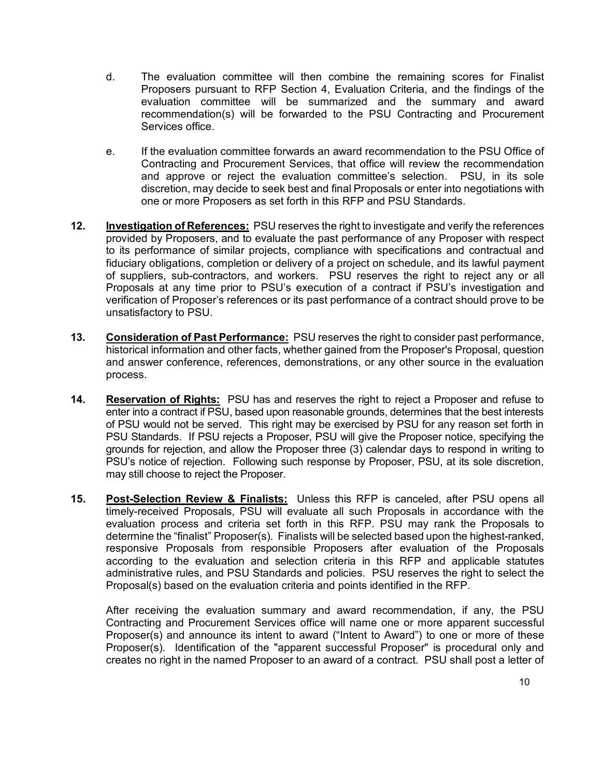- d. The evaluation committee will then combine the remaining scores for Finalist Proposers pursuant to RFP Section 4, Evaluation Criteria, and the findings of the evaluation committee will be summarized and the summary and award recommendation(s) will be forwarded to the PSU Contracting and Procurement Services office.
- e. If the evaluation committee forwards an award recommendation to the PSU Office of Contracting and Procurement Services, that office will review the recommendation and approve or reject the evaluation committee's selection. PSU, in its sole discretion, may decide to seek best and final Proposals or enter into negotiations with one or more Proposers as set forth in this RFP and PSU Standards.
- **12. Investigation of References:** PSU reserves the right to investigate and verify the references provided by Proposers, and to evaluate the past performance of any Proposer with respect to its performance of similar projects, compliance with specifications and contractual and fiduciary obligations, completion or delivery of a project on schedule, and its lawful payment of suppliers, sub-contractors, and workers. PSU reserves the right to reject any or all Proposals at any time prior to PSU's execution of a contract if PSU's investigation and verification of Proposer's references or its past performance of a contract should prove to be unsatisfactory to PSU.
- **13. Consideration of Past Performance:** PSU reserves the right to consider past performance, historical information and other facts, whether gained from the Proposer's Proposal, question and answer conference, references, demonstrations, or any other source in the evaluation process.
- **14. Reservation of Rights:** PSU has and reserves the right to reject a Proposer and refuse to enter into a contract if PSU, based upon reasonable grounds, determines that the best interests of PSU would not be served. This right may be exercised by PSU for any reason set forth in PSU Standards. If PSU rejects a Proposer, PSU will give the Proposer notice, specifying the grounds for rejection, and allow the Proposer three (3) calendar days to respond in writing to PSU's notice of rejection. Following such response by Proposer, PSU, at its sole discretion, may still choose to reject the Proposer.
- **15. Post-Selection Review & Finalists:** Unless this RFP is canceled, after PSU opens all timely-received Proposals, PSU will evaluate all such Proposals in accordance with the evaluation process and criteria set forth in this RFP. PSU may rank the Proposals to determine the "finalist" Proposer(s). Finalists will be selected based upon the highest-ranked, responsive Proposals from responsible Proposers after evaluation of the Proposals according to the evaluation and selection criteria in this RFP and applicable statutes administrative rules, and PSU Standards and policies. PSU reserves the right to select the Proposal(s) based on the evaluation criteria and points identified in the RFP.

After receiving the evaluation summary and award recommendation, if any, the PSU Contracting and Procurement Services office will name one or more apparent successful Proposer(s) and announce its intent to award ("Intent to Award") to one or more of these Proposer(s). Identification of the "apparent successful Proposer" is procedural only and creates no right in the named Proposer to an award of a contract. PSU shall post a letter of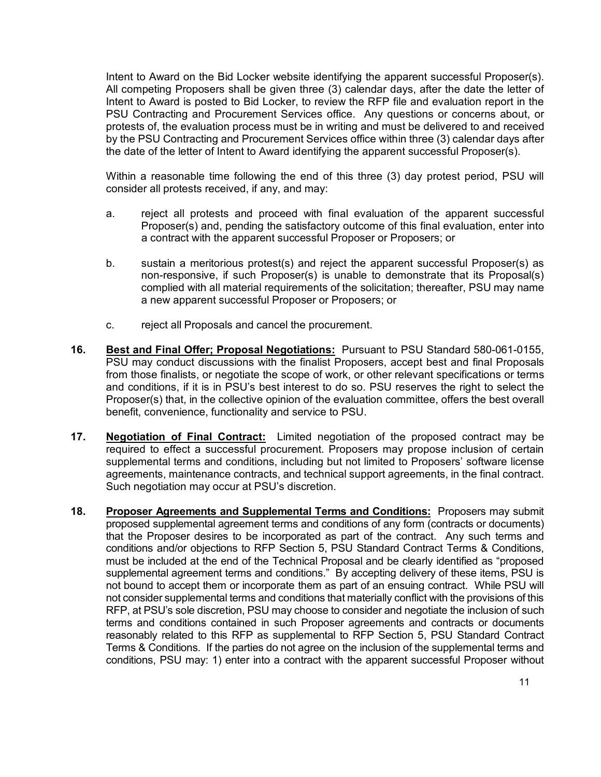Intent to Award on the Bid Locker website identifying the apparent successful Proposer(s). All competing Proposers shall be given three (3) calendar days, after the date the letter of Intent to Award is posted to Bid Locker, to review the RFP file and evaluation report in the PSU Contracting and Procurement Services office. Any questions or concerns about, or protests of, the evaluation process must be in writing and must be delivered to and received by the PSU Contracting and Procurement Services office within three (3) calendar days after the date of the letter of Intent to Award identifying the apparent successful Proposer(s).

Within a reasonable time following the end of this three (3) day protest period, PSU will consider all protests received, if any, and may:

- a. reject all protests and proceed with final evaluation of the apparent successful Proposer(s) and, pending the satisfactory outcome of this final evaluation, enter into a contract with the apparent successful Proposer or Proposers; or
- b. sustain a meritorious protest(s) and reject the apparent successful Proposer(s) as non-responsive, if such Proposer(s) is unable to demonstrate that its Proposal(s) complied with all material requirements of the solicitation; thereafter, PSU may name a new apparent successful Proposer or Proposers; or
- c. reject all Proposals and cancel the procurement.
- **16. Best and Final Offer; Proposal Negotiations:** Pursuant to PSU Standard 580-061-0155, PSU may conduct discussions with the finalist Proposers, accept best and final Proposals from those finalists, or negotiate the scope of work, or other relevant specifications or terms and conditions, if it is in PSU's best interest to do so. PSU reserves the right to select the Proposer(s) that, in the collective opinion of the evaluation committee, offers the best overall benefit, convenience, functionality and service to PSU.
- **17. Negotiation of Final Contract:** Limited negotiation of the proposed contract may be required to effect a successful procurement. Proposers may propose inclusion of certain supplemental terms and conditions, including but not limited to Proposers' software license agreements, maintenance contracts, and technical support agreements, in the final contract. Such negotiation may occur at PSU's discretion.
- **18. Proposer Agreements and Supplemental Terms and Conditions:** Proposers may submit proposed supplemental agreement terms and conditions of any form (contracts or documents) that the Proposer desires to be incorporated as part of the contract. Any such terms and conditions and/or objections to RFP Section 5, PSU Standard Contract Terms & Conditions, must be included at the end of the Technical Proposal and be clearly identified as "proposed supplemental agreement terms and conditions." By accepting delivery of these items, PSU is not bound to accept them or incorporate them as part of an ensuing contract. While PSU will not consider supplemental terms and conditions that materially conflict with the provisions of this RFP, at PSU's sole discretion, PSU may choose to consider and negotiate the inclusion of such terms and conditions contained in such Proposer agreements and contracts or documents reasonably related to this RFP as supplemental to RFP Section 5, PSU Standard Contract Terms & Conditions. If the parties do not agree on the inclusion of the supplemental terms and conditions, PSU may: 1) enter into a contract with the apparent successful Proposer without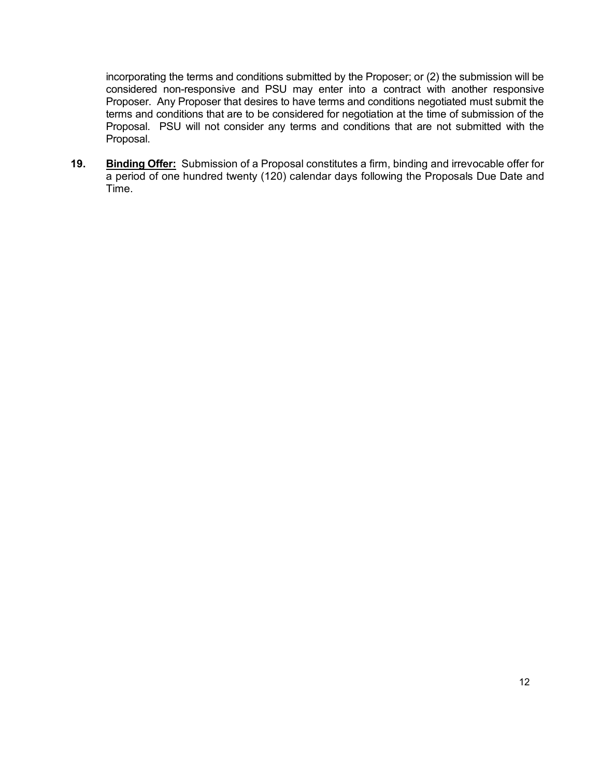incorporating the terms and conditions submitted by the Proposer; or (2) the submission will be considered non-responsive and PSU may enter into a contract with another responsive Proposer. Any Proposer that desires to have terms and conditions negotiated must submit the terms and conditions that are to be considered for negotiation at the time of submission of the Proposal. PSU will not consider any terms and conditions that are not submitted with the Proposal.

**19. Binding Offer:** Submission of a Proposal constitutes a firm, binding and irrevocable offer for a period of one hundred twenty (120) calendar days following the Proposals Due Date and Time.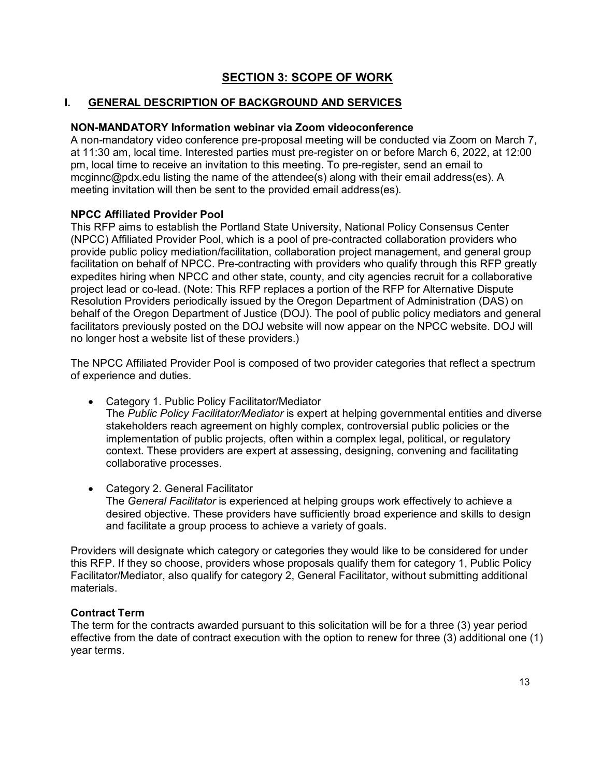# **SECTION 3: SCOPE OF WORK**

## **I. GENERAL DESCRIPTION OF BACKGROUND AND SERVICES**

### **NON-MANDATORY Information webinar via Zoom videoconference**

A non-mandatory video conference pre-proposal meeting will be conducted via Zoom on March 7, at 11:30 am, local time. Interested parties must pre-register on or before March 6, 2022, at 12:00 pm, local time to receive an invitation to this meeting. To pre-register, send an email to mcginnc@pdx.edu listing the name of the attendee(s) along with their email address(es). A meeting invitation will then be sent to the provided email address(es).

### **NPCC Affiliated Provider Pool**

This RFP aims to establish the Portland State University, National Policy Consensus Center (NPCC) Affiliated Provider Pool, which is a pool of pre-contracted collaboration providers who provide public policy mediation/facilitation, collaboration project management, and general group facilitation on behalf of NPCC. Pre-contracting with providers who qualify through this RFP greatly expedites hiring when NPCC and other state, county, and city agencies recruit for a collaborative project lead or co-lead. (Note: This RFP replaces a portion of the RFP for Alternative Dispute Resolution Providers periodically issued by the Oregon Department of Administration (DAS) on behalf of the Oregon Department of Justice (DOJ). The pool of public policy mediators and general facilitators previously posted on the DOJ website will now appear on the NPCC website. DOJ will no longer host a website list of these providers.)

The NPCC Affiliated Provider Pool is composed of two provider categories that reflect a spectrum of experience and duties.

- Category 1. Public Policy Facilitator/Mediator The *Public Policy Facilitator/Mediator* is expert at helping governmental entities and diverse stakeholders reach agreement on highly complex, controversial public policies or the implementation of public projects, often within a complex legal, political, or regulatory context. These providers are expert at assessing, designing, convening and facilitating collaborative processes.
- Category 2. General Facilitator The *General Facilitator* is experienced at helping groups work effectively to achieve a desired objective. These providers have sufficiently broad experience and skills to design and facilitate a group process to achieve a variety of goals.

Providers will designate which category or categories they would like to be considered for under this RFP. If they so choose, providers whose proposals qualify them for category 1, Public Policy Facilitator/Mediator, also qualify for category 2, General Facilitator, without submitting additional materials.

## **Contract Term**

The term for the contracts awarded pursuant to this solicitation will be for a three (3) year period effective from the date of contract execution with the option to renew for three (3) additional one (1) year terms.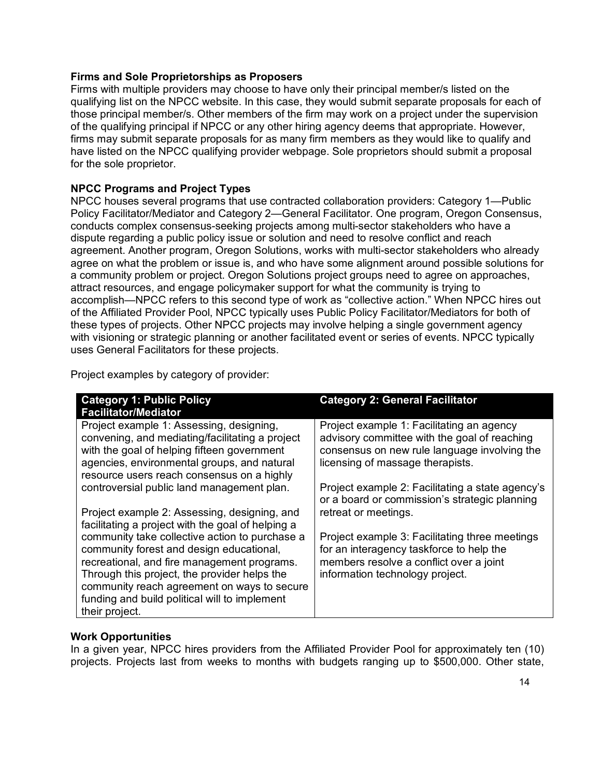### **Firms and Sole Proprietorships as Proposers**

Firms with multiple providers may choose to have only their principal member/s listed on the qualifying list on the NPCC website. In this case, they would submit separate proposals for each of those principal member/s. Other members of the firm may work on a project under the supervision of the qualifying principal if NPCC or any other hiring agency deems that appropriate. However, firms may submit separate proposals for as many firm members as they would like to qualify and have listed on the NPCC qualifying provider webpage. Sole proprietors should submit a proposal for the sole proprietor.

## **NPCC Programs and Project Types**

NPCC houses several programs that use contracted collaboration providers: Category 1—Public Policy Facilitator/Mediator and Category 2—General Facilitator. One program, Oregon Consensus, conducts complex consensus-seeking projects among multi-sector stakeholders who have a dispute regarding a public policy issue or solution and need to resolve conflict and reach agreement. Another program, Oregon Solutions, works with multi-sector stakeholders who already agree on what the problem or issue is, and who have some alignment around possible solutions for a community problem or project. Oregon Solutions project groups need to agree on approaches, attract resources, and engage policymaker support for what the community is trying to accomplish—NPCC refers to this second type of work as "collective action." When NPCC hires out of the Affiliated Provider Pool, NPCC typically uses Public Policy Facilitator/Mediators for both of these types of projects. Other NPCC projects may involve helping a single government agency with visioning or strategic planning or another facilitated event or series of events. NPCC typically uses General Facilitators for these projects.

Project examples by category of provider:

| <b>Category 1: Public Policy</b><br><b>Facilitator/Mediator</b>                                                                                                                                                                         | <b>Category 2: General Facilitator</b>                                                                                                                                        |
|-----------------------------------------------------------------------------------------------------------------------------------------------------------------------------------------------------------------------------------------|-------------------------------------------------------------------------------------------------------------------------------------------------------------------------------|
| Project example 1: Assessing, designing,<br>convening, and mediating/facilitating a project<br>with the goal of helping fifteen government<br>agencies, environmental groups, and natural<br>resource users reach consensus on a highly | Project example 1: Facilitating an agency<br>advisory committee with the goal of reaching<br>consensus on new rule language involving the<br>licensing of massage therapists. |
| controversial public land management plan.                                                                                                                                                                                              | Project example 2: Facilitating a state agency's<br>or a board or commission's strategic planning                                                                             |
| Project example 2: Assessing, designing, and<br>facilitating a project with the goal of helping a                                                                                                                                       | retreat or meetings.                                                                                                                                                          |
| community take collective action to purchase a<br>community forest and design educational,<br>recreational, and fire management programs.                                                                                               | Project example 3: Facilitating three meetings<br>for an interagency taskforce to help the<br>members resolve a conflict over a joint                                         |
| Through this project, the provider helps the<br>community reach agreement on ways to secure                                                                                                                                             | information technology project.                                                                                                                                               |
| funding and build political will to implement<br>their project.                                                                                                                                                                         |                                                                                                                                                                               |

## **Work Opportunities**

In a given year, NPCC hires providers from the Affiliated Provider Pool for approximately ten (10) projects. Projects last from weeks to months with budgets ranging up to \$500,000. Other state,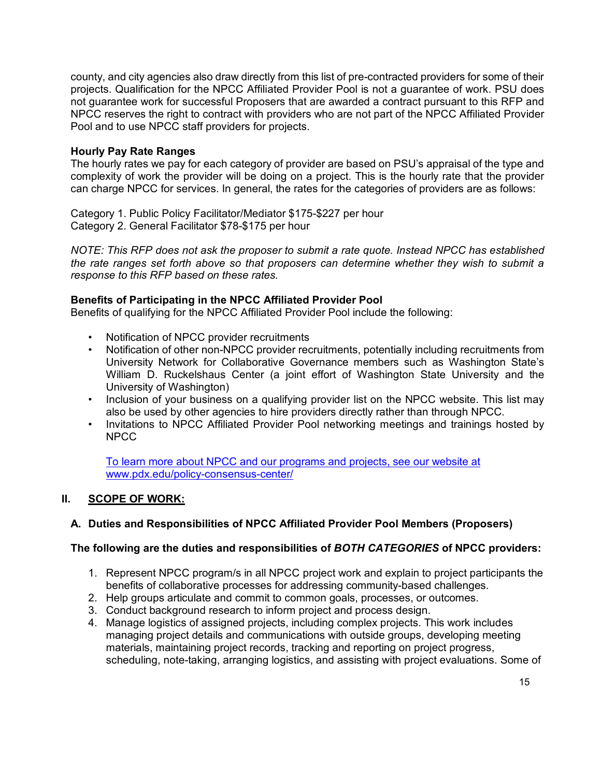county, and city agencies also draw directly from this list of pre-contracted providers for some of their projects. Qualification for the NPCC Affiliated Provider Pool is not a guarantee of work. PSU does not guarantee work for successful Proposers that are awarded a contract pursuant to this RFP and NPCC reserves the right to contract with providers who are not part of the NPCC Affiliated Provider Pool and to use NPCC staff providers for projects.

## **Hourly Pay Rate Ranges**

The hourly rates we pay for each category of provider are based on PSU's appraisal of the type and complexity of work the provider will be doing on a project. This is the hourly rate that the provider can charge NPCC for services. In general, the rates for the categories of providers are as follows:

Category 1. Public Policy Facilitator/Mediator \$175-\$227 per hour Category 2. General Facilitator \$78-\$175 per hour

*NOTE: This RFP does not ask the proposer to submit a rate quote. Instead NPCC has established the rate ranges set forth above so that proposers can determine whether they wish to submit a response to this RFP based on these rates.*

## **Benefits of Participating in the NPCC Affiliated Provider Pool**

Benefits of qualifying for the NPCC Affiliated Provider Pool include the following:

- Notification of NPCC provider recruitments
- Notification of other non-NPCC provider recruitments, potentially including recruitments from University Network for Collaborative Governance members such as Washington State's William D. Ruckelshaus Center (a joint effort of Washington State University and the University of Washington)
- Inclusion of your business on a qualifying provider list on the NPCC website. This list may also be used by other agencies to hire providers directly rather than through NPCC.
- Invitations to NPCC Affiliated Provider Pool networking meetings and trainings hosted by NPCC

[To learn more about NPCC and our programs and projects, see our website at](https://www.pdx.edu/policy-consensus-center/)  [www.pdx.edu/policy-consensus-center/](https://www.pdx.edu/policy-consensus-center/)

## **II. SCOPE OF WORK:**

## **A. Duties and Responsibilities of NPCC Affiliated Provider Pool Members (Proposers)**

## **The following are the duties and responsibilities of** *BOTH CATEGORIES* **of NPCC providers:**

- 1. Represent NPCC program/s in all NPCC project work and explain to project participants the benefits of collaborative processes for addressing community-based challenges.
- 2. Help groups articulate and commit to common goals, processes, or outcomes.
- 3. Conduct background research to inform project and process design.
- 4. Manage logistics of assigned projects, including complex projects. This work includes managing project details and communications with outside groups, developing meeting materials, maintaining project records, tracking and reporting on project progress, scheduling, note-taking, arranging logistics, and assisting with project evaluations. Some of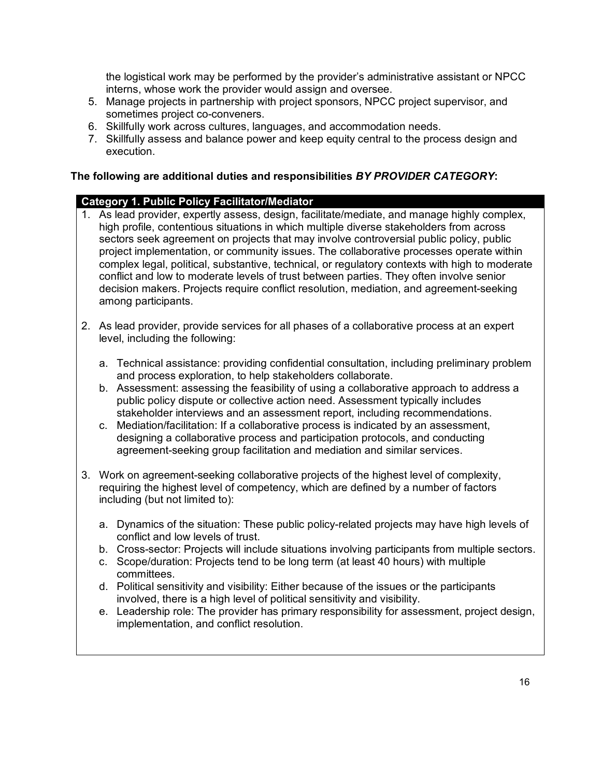the logistical work may be performed by the provider's administrative assistant or NPCC interns, whose work the provider would assign and oversee.

- 5. Manage projects in partnership with project sponsors, NPCC project supervisor, and sometimes project co-conveners.
- 6. Skillfully work across cultures, languages, and accommodation needs.
- 7. Skillfully assess and balance power and keep equity central to the process design and execution.

## **The following are additional duties and responsibilities** *BY PROVIDER CATEGORY***:**

## **Category 1. Public Policy Facilitator/Mediator**

- 1. As lead provider, expertly assess, design, facilitate/mediate, and manage highly complex, high profile, contentious situations in which multiple diverse stakeholders from across sectors seek agreement on projects that may involve controversial public policy, public project implementation, or community issues. The collaborative processes operate within complex legal, political, substantive, technical, or regulatory contexts with high to moderate conflict and low to moderate levels of trust between parties. They often involve senior decision makers. Projects require conflict resolution, mediation, and agreement-seeking among participants.
- 2. As lead provider, provide services for all phases of a collaborative process at an expert level, including the following:
	- a. Technical assistance: providing confidential consultation, including preliminary problem and process exploration, to help stakeholders collaborate.
	- b. Assessment: assessing the feasibility of using a collaborative approach to address a public policy dispute or collective action need. Assessment typically includes stakeholder interviews and an assessment report, including recommendations.
	- c. Mediation/facilitation: If a collaborative process is indicated by an assessment, designing a collaborative process and participation protocols, and conducting agreement-seeking group facilitation and mediation and similar services.
- 3. Work on agreement-seeking collaborative projects of the highest level of complexity, requiring the highest level of competency, which are defined by a number of factors including (but not limited to):
	- a. Dynamics of the situation: These public policy-related projects may have high levels of conflict and low levels of trust.
	- b. Cross-sector: Projects will include situations involving participants from multiple sectors.
	- c. Scope/duration: Projects tend to be long term (at least 40 hours) with multiple committees.
	- d. Political sensitivity and visibility: Either because of the issues or the participants involved, there is a high level of political sensitivity and visibility.
	- e. Leadership role: The provider has primary responsibility for assessment, project design, implementation, and conflict resolution.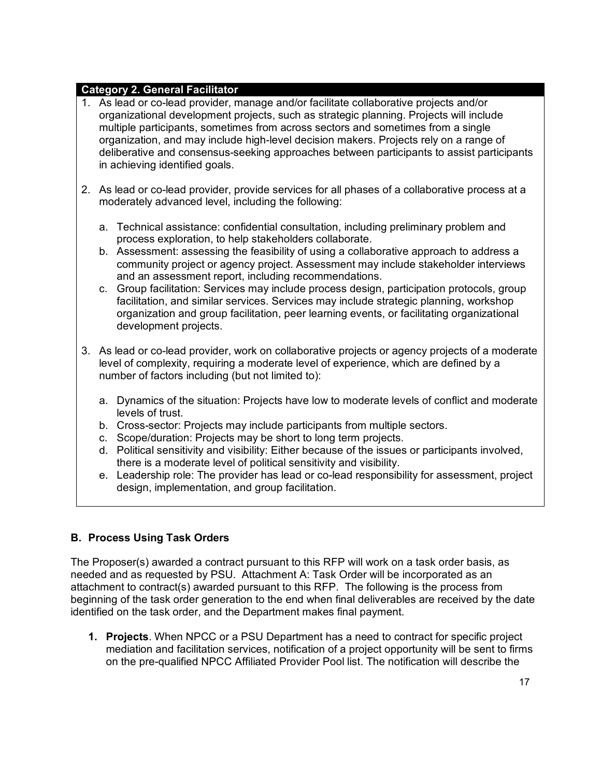## **Category 2. General Facilitator**

- 1. As lead or co-lead provider, manage and/or facilitate collaborative projects and/or organizational development projects, such as strategic planning. Projects will include multiple participants, sometimes from across sectors and sometimes from a single organization, and may include high-level decision makers. Projects rely on a range of deliberative and consensus-seeking approaches between participants to assist participants in achieving identified goals.
- 2. As lead or co-lead provider, provide services for all phases of a collaborative process at a moderately advanced level, including the following:
	- a. Technical assistance: confidential consultation, including preliminary problem and process exploration, to help stakeholders collaborate.
	- b. Assessment: assessing the feasibility of using a collaborative approach to address a community project or agency project. Assessment may include stakeholder interviews and an assessment report, including recommendations.
	- c. Group facilitation: Services may include process design, participation protocols, group facilitation, and similar services. Services may include strategic planning, workshop organization and group facilitation, peer learning events, or facilitating organizational development projects.
- 3. As lead or co-lead provider, work on collaborative projects or agency projects of a moderate level of complexity, requiring a moderate level of experience, which are defined by a number of factors including (but not limited to):
	- a. Dynamics of the situation: Projects have low to moderate levels of conflict and moderate levels of trust.
	- b. Cross-sector: Projects may include participants from multiple sectors.
	- c. Scope/duration: Projects may be short to long term projects.
	- d. Political sensitivity and visibility: Either because of the issues or participants involved, there is a moderate level of political sensitivity and visibility.
	- e. Leadership role: The provider has lead or co-lead responsibility for assessment, project design, implementation, and group facilitation.

## **B. Process Using Task Orders**

The Proposer(s) awarded a contract pursuant to this RFP will work on a task order basis, as needed and as requested by PSU. Attachment A: Task Order will be incorporated as an attachment to contract(s) awarded pursuant to this RFP. The following is the process from beginning of the task order generation to the end when final deliverables are received by the date identified on the task order, and the Department makes final payment.

**1. Projects**. When NPCC or a PSU Department has a need to contract for specific project mediation and facilitation services, notification of a project opportunity will be sent to firms on the pre-qualified NPCC Affiliated Provider Pool list. The notification will describe the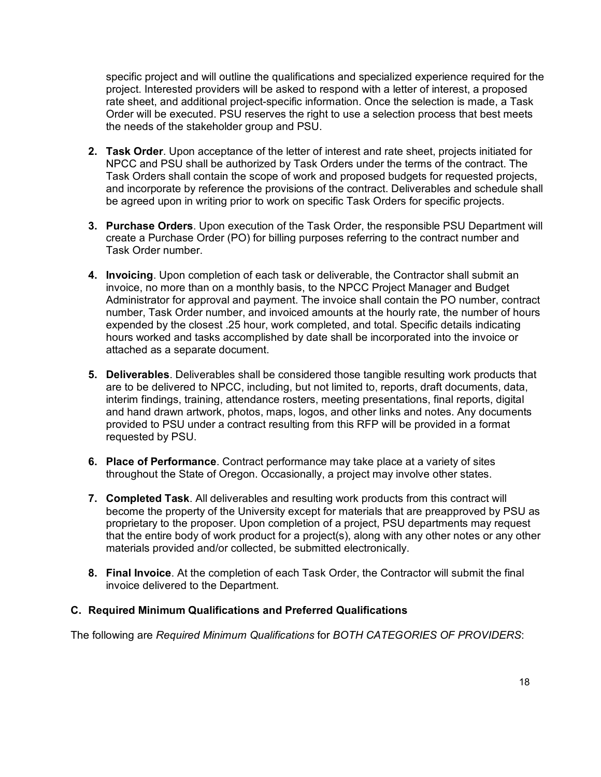specific project and will outline the qualifications and specialized experience required for the project. Interested providers will be asked to respond with a letter of interest, a proposed rate sheet, and additional project-specific information. Once the selection is made, a Task Order will be executed. PSU reserves the right to use a selection process that best meets the needs of the stakeholder group and PSU.

- **2. Task Order**. Upon acceptance of the letter of interest and rate sheet, projects initiated for NPCC and PSU shall be authorized by Task Orders under the terms of the contract. The Task Orders shall contain the scope of work and proposed budgets for requested projects, and incorporate by reference the provisions of the contract. Deliverables and schedule shall be agreed upon in writing prior to work on specific Task Orders for specific projects.
- **3. Purchase Orders**. Upon execution of the Task Order, the responsible PSU Department will create a Purchase Order (PO) for billing purposes referring to the contract number and Task Order number.
- **4. Invoicing**. Upon completion of each task or deliverable, the Contractor shall submit an invoice, no more than on a monthly basis, to the NPCC Project Manager and Budget Administrator for approval and payment. The invoice shall contain the PO number, contract number, Task Order number, and invoiced amounts at the hourly rate, the number of hours expended by the closest .25 hour, work completed, and total. Specific details indicating hours worked and tasks accomplished by date shall be incorporated into the invoice or attached as a separate document.
- **5. Deliverables**. Deliverables shall be considered those tangible resulting work products that are to be delivered to NPCC, including, but not limited to, reports, draft documents, data, interim findings, training, attendance rosters, meeting presentations, final reports, digital and hand drawn artwork, photos, maps, logos, and other links and notes. Any documents provided to PSU under a contract resulting from this RFP will be provided in a format requested by PSU.
- **6. Place of Performance**. Contract performance may take place at a variety of sites throughout the State of Oregon. Occasionally, a project may involve other states.
- **7. Completed Task**. All deliverables and resulting work products from this contract will become the property of the University except for materials that are preapproved by PSU as proprietary to the proposer. Upon completion of a project, PSU departments may request that the entire body of work product for a project(s), along with any other notes or any other materials provided and/or collected, be submitted electronically.
- **8. Final Invoice**. At the completion of each Task Order, the Contractor will submit the final invoice delivered to the Department.

## **C. Required Minimum Qualifications and Preferred Qualifications**

The following are *Required Minimum Qualifications* for *BOTH CATEGORIES OF PROVIDERS*: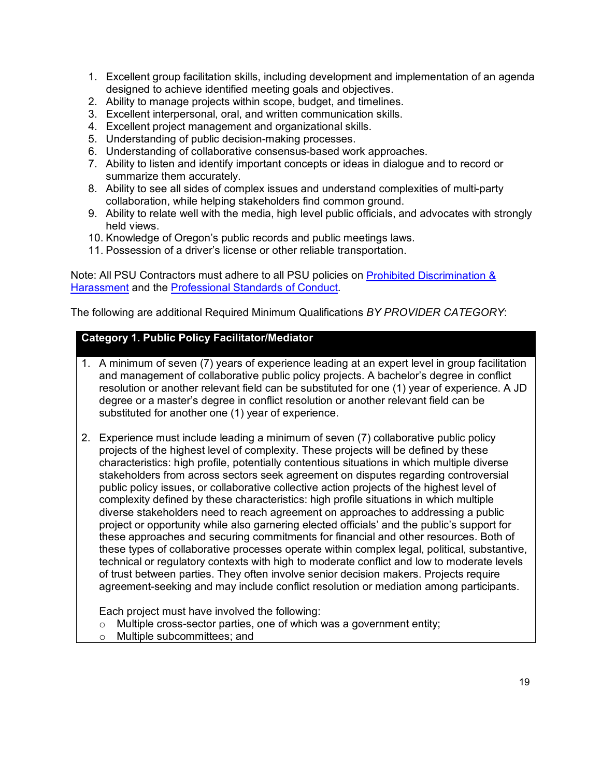- 1. Excellent group facilitation skills, including development and implementation of an agenda designed to achieve identified meeting goals and objectives.
- 2. Ability to manage projects within scope, budget, and timelines.
- 3. Excellent interpersonal, oral, and written communication skills.
- 4. Excellent project management and organizational skills.
- 5. Understanding of public decision-making processes.
- 6. Understanding of collaborative consensus-based work approaches.
- 7. Ability to listen and identify important concepts or ideas in dialogue and to record or summarize them accurately.
- 8. Ability to see all sides of complex issues and understand complexities of multi-party collaboration, while helping stakeholders find common ground.
- 9. Ability to relate well with the media, high level public officials, and advocates with strongly held views.
- 10. Knowledge of Oregon's public records and public meetings laws.
- 11. Possession of a driver's license or other reliable transportation.

Note: All PSU Contractors must adhere to all PSU policies on [Prohibited Discrimination &](https://www.pdx.edu/dean-student-life/sites/g/files/znldhr1701/files/2020-08/Policy-Prohibited-Discrimination-Harassment.pdf)  [Harassment](https://www.pdx.edu/dean-student-life/sites/g/files/znldhr1701/files/2020-08/Policy-Prohibited-Discrimination-Harassment.pdf) and the [Professional Standards of Conduct.](https://www.pdx.edu/human-resources/professional-standards-conduct-policy)

The following are additional Required Minimum Qualifications *BY PROVIDER CATEGORY*:

## **Category 1. Public Policy Facilitator/Mediator**

- 1. A minimum of seven (7) years of experience leading at an expert level in group facilitation and management of collaborative public policy projects. A bachelor's degree in conflict resolution or another relevant field can be substituted for one (1) year of experience. A JD degree or a master's degree in conflict resolution or another relevant field can be substituted for another one (1) year of experience.
- 2. Experience must include leading a minimum of seven (7) collaborative public policy projects of the highest level of complexity. These projects will be defined by these characteristics: high profile, potentially contentious situations in which multiple diverse stakeholders from across sectors seek agreement on disputes regarding controversial public policy issues, or collaborative collective action projects of the highest level of complexity defined by these characteristics: high profile situations in which multiple diverse stakeholders need to reach agreement on approaches to addressing a public project or opportunity while also garnering elected officials' and the public's support for these approaches and securing commitments for financial and other resources. Both of these types of collaborative processes operate within complex legal, political, substantive, technical or regulatory contexts with high to moderate conflict and low to moderate levels of trust between parties. They often involve senior decision makers. Projects require agreement-seeking and may include conflict resolution or mediation among participants.

Each project must have involved the following:

- o Multiple cross-sector parties, one of which was a government entity;
- o Multiple subcommittees; and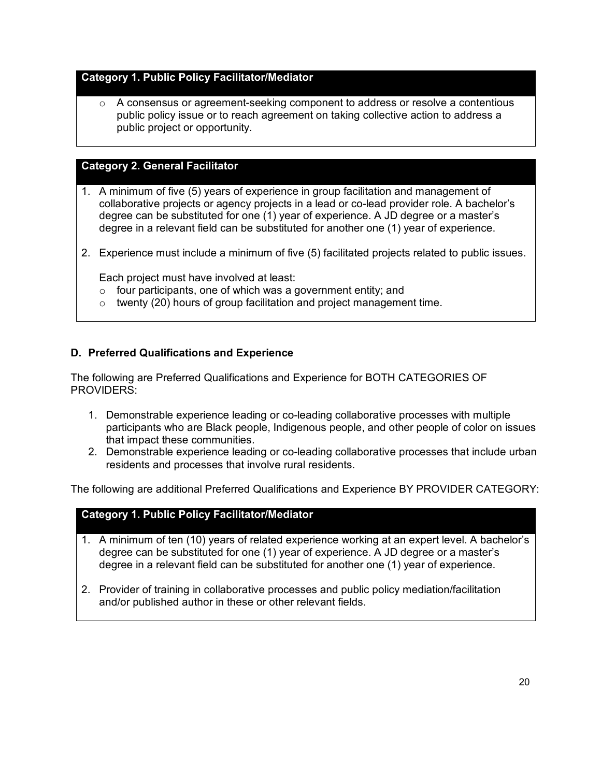## **Category 1. Public Policy Facilitator/Mediator**

o A consensus or agreement-seeking component to address or resolve a contentious public policy issue or to reach agreement on taking collective action to address a public project or opportunity.

## **Category 2. General Facilitator**

- 1. A minimum of five (5) years of experience in group facilitation and management of collaborative projects or agency projects in a lead or co-lead provider role. A bachelor's degree can be substituted for one (1) year of experience. A JD degree or a master's degree in a relevant field can be substituted for another one (1) year of experience.
- 2. Experience must include a minimum of five (5) facilitated projects related to public issues.

Each project must have involved at least:

- $\circ$  four participants, one of which was a government entity; and
- o twenty (20) hours of group facilitation and project management time.

## **D. Preferred Qualifications and Experience**

The following are Preferred Qualifications and Experience for BOTH CATEGORIES OF PROVIDERS:

- 1. Demonstrable experience leading or co-leading collaborative processes with multiple participants who are Black people, Indigenous people, and other people of color on issues that impact these communities.
- 2. Demonstrable experience leading or co-leading collaborative processes that include urban residents and processes that involve rural residents.

The following are additional Preferred Qualifications and Experience BY PROVIDER CATEGORY:

## **Category 1. Public Policy Facilitator/Mediator**

- 1. A minimum of ten (10) years of related experience working at an expert level. A bachelor's degree can be substituted for one (1) year of experience. A JD degree or a master's degree in a relevant field can be substituted for another one (1) year of experience.
- 2. Provider of training in collaborative processes and public policy mediation/facilitation and/or published author in these or other relevant fields.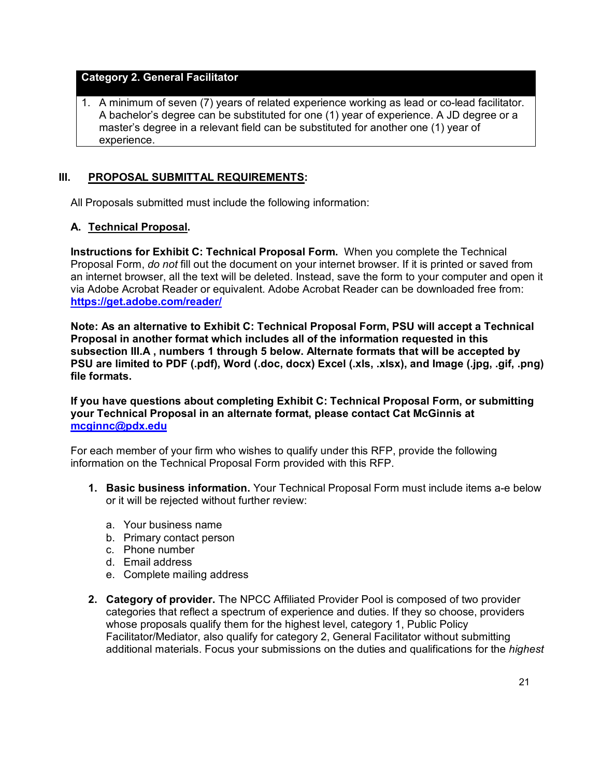### **Category 2. General Facilitator**

1. A minimum of seven (7) years of related experience working as lead or co-lead facilitator. A bachelor's degree can be substituted for one (1) year of experience. A JD degree or a master's degree in a relevant field can be substituted for another one (1) year of experience.

## **III. PROPOSAL SUBMITTAL REQUIREMENTS:**

All Proposals submitted must include the following information:

## **A. Technical Proposal.**

**Instructions for Exhibit C: Technical Proposal Form.** When you complete the Technical Proposal Form, *do not* fill out the document on your internet browser. If it is printed or saved from an internet browser, all the text will be deleted. Instead, save the form to your computer and open it via Adobe Acrobat Reader or equivalent. Adobe Acrobat Reader can be downloaded free from: **<https://get.adobe.com/reader/>**

**Note: As an alternative to Exhibit C: Technical Proposal Form, PSU will accept a Technical Proposal in another format which includes all of the information requested in this subsection III.A , numbers 1 through 5 below. Alternate formats that will be accepted by PSU are limited to PDF (.pdf), Word (.doc, docx) Excel (.xls, .xlsx), and Image (.jpg, .gif, .png) file formats.**

**If you have questions about completing Exhibit C: Technical Proposal Form, or submitting your Technical Proposal in an alternate format, please contact Cat McGinnis at [mcginnc@pdx.edu](mailto:mcginnc@pdx.edu)**

For each member of your firm who wishes to qualify under this RFP, provide the following information on the Technical Proposal Form provided with this RFP.

- **1. Basic business information.** Your Technical Proposal Form must include items a-e below or it will be rejected without further review:
	- a. Your business name
	- b. Primary contact person
	- c. Phone number
	- d. Email address
	- e. Complete mailing address
- **2. Category of provider.** The NPCC Affiliated Provider Pool is composed of two provider categories that reflect a spectrum of experience and duties. If they so choose, providers whose proposals qualify them for the highest level, category 1, Public Policy Facilitator/Mediator, also qualify for category 2, General Facilitator without submitting additional materials. Focus your submissions on the duties and qualifications for the *highest*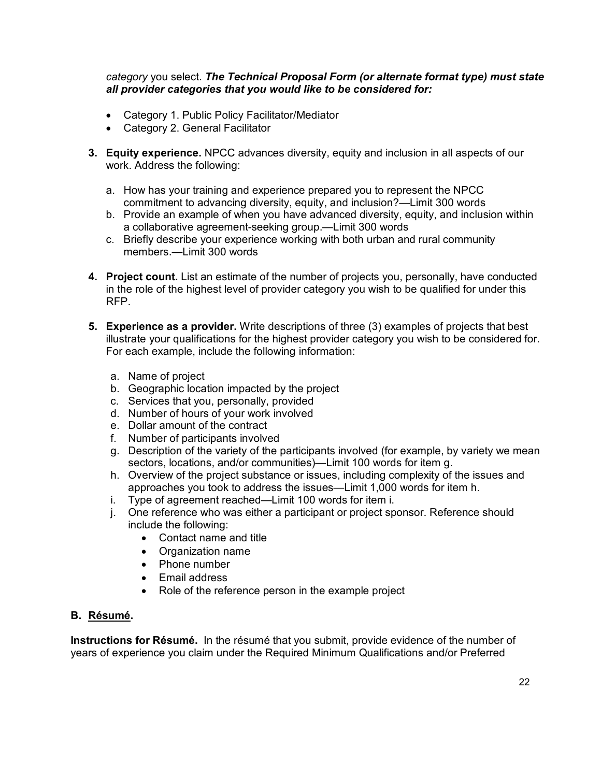*category* you select. *The Technical Proposal Form (or alternate format type) must state all provider categories that you would like to be considered for:*

- Category 1. Public Policy Facilitator/Mediator
- Category 2. General Facilitator
- **3. Equity experience.** NPCC advances diversity, equity and inclusion in all aspects of our work. Address the following:
	- a. How has your training and experience prepared you to represent the NPCC commitment to advancing diversity, equity, and inclusion?—Limit 300 words
	- b. Provide an example of when you have advanced diversity, equity, and inclusion within a collaborative agreement-seeking group.—Limit 300 words
	- c. Briefly describe your experience working with both urban and rural community members.—Limit 300 words
- **4. Project count.** List an estimate of the number of projects you, personally, have conducted in the role of the highest level of provider category you wish to be qualified for under this RFP.
- **5. Experience as a provider.** Write descriptions of three (3) examples of projects that best illustrate your qualifications for the highest provider category you wish to be considered for. For each example, include the following information:
	- a. Name of project
	- b. Geographic location impacted by the project
	- c. Services that you, personally, provided
	- d. Number of hours of your work involved
	- e. Dollar amount of the contract
	- f. Number of participants involved
	- g. Description of the variety of the participants involved (for example, by variety we mean sectors, locations, and/or communities)—Limit 100 words for item g.
	- h. Overview of the project substance or issues, including complexity of the issues and approaches you took to address the issues—Limit 1,000 words for item h.
	- i. Type of agreement reached—Limit 100 words for item i.
	- j. One reference who was either a participant or project sponsor. Reference should include the following:
		- Contact name and title
		- Organization name
		- Phone number
		- Email address
		- Role of the reference person in the example project

### **B. Résumé.**

**Instructions for Résumé.** In the résumé that you submit, provide evidence of the number of years of experience you claim under the Required Minimum Qualifications and/or Preferred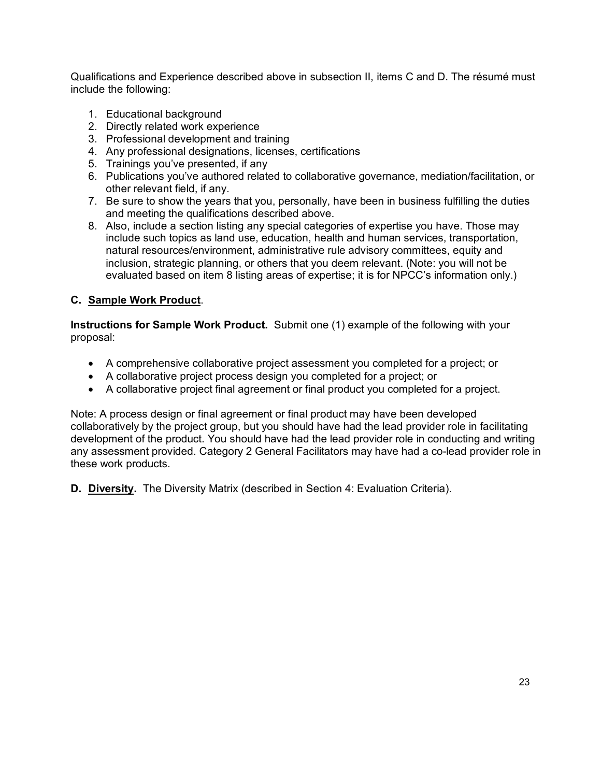Qualifications and Experience described above in subsection II, items C and D. The résumé must include the following:

- 1. Educational background
- 2. Directly related work experience
- 3. Professional development and training
- 4. Any professional designations, licenses, certifications
- 5. Trainings you've presented, if any
- 6. Publications you've authored related to collaborative governance, mediation/facilitation, or other relevant field, if any.
- 7. Be sure to show the years that you, personally, have been in business fulfilling the duties and meeting the qualifications described above.
- 8. Also, include a section listing any special categories of expertise you have. Those may include such topics as land use, education, health and human services, transportation, natural resources/environment, administrative rule advisory committees, equity and inclusion, strategic planning, or others that you deem relevant. (Note: you will not be evaluated based on item 8 listing areas of expertise; it is for NPCC's information only.)

## **C. Sample Work Product**.

**Instructions for Sample Work Product.** Submit one (1) example of the following with your proposal:

- A comprehensive collaborative project assessment you completed for a project; or
- A collaborative project process design you completed for a project; or
- A collaborative project final agreement or final product you completed for a project.

Note: A process design or final agreement or final product may have been developed collaboratively by the project group, but you should have had the lead provider role in facilitating development of the product. You should have had the lead provider role in conducting and writing any assessment provided. Category 2 General Facilitators may have had a co-lead provider role in these work products.

**D. Diversity.** The Diversity Matrix (described in Section 4: Evaluation Criteria).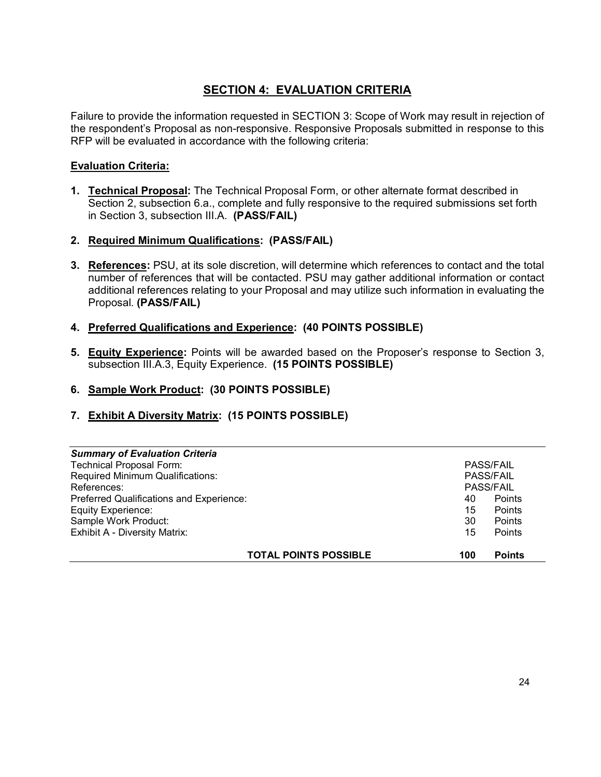## **SECTION 4: EVALUATION CRITERIA**

Failure to provide the information requested in SECTION 3: Scope of Work may result in rejection of the respondent's Proposal as non-responsive. Responsive Proposals submitted in response to this RFP will be evaluated in accordance with the following criteria:

## **Evaluation Criteria:**

- **1. Technical Proposal:** The Technical Proposal Form, or other alternate format described in Section 2, subsection 6.a., complete and fully responsive to the required submissions set forth in Section 3, subsection III.A. **(PASS/FAIL)**
- **2. Required Minimum Qualifications: (PASS/FAIL)**
- **3. References:** PSU, at its sole discretion, will determine which references to contact and the total number of references that will be contacted. PSU may gather additional information or contact additional references relating to your Proposal and may utilize such information in evaluating the Proposal. **(PASS/FAIL)**
- **4. Preferred Qualifications and Experience: (40 POINTS POSSIBLE)**
- **5. Equity Experience:** Points will be awarded based on the Proposer's response to Section 3, subsection III.A.3, Equity Experience. **(15 POINTS POSSIBLE)**
- **6. Sample Work Product: (30 POINTS POSSIBLE)**
- **7. Exhibit A Diversity Matrix: (15 POINTS POSSIBLE)**

| <b>Summary of Evaluation Criteria</b>    |     |                  |
|------------------------------------------|-----|------------------|
| <b>Technical Proposal Form:</b>          |     | <b>PASS/FAIL</b> |
| Required Minimum Qualifications:         |     | <b>PASS/FAIL</b> |
| References:                              |     | <b>PASS/FAIL</b> |
| Preferred Qualifications and Experience: | 40  | Points           |
| <b>Equity Experience:</b>                | 15  | Points           |
| Sample Work Product:                     | 30  | Points           |
| <b>Exhibit A - Diversity Matrix:</b>     | 15  | Points           |
| <b>TOTAL POINTS POSSIBLE</b>             | 100 | <b>Points</b>    |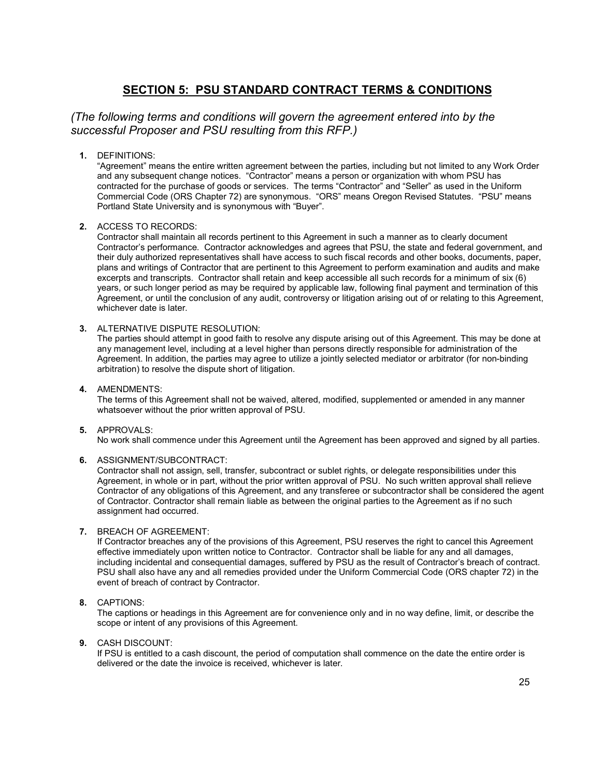## **SECTION 5: PSU STANDARD CONTRACT TERMS & CONDITIONS**

## *(The following terms and conditions will govern the agreement entered into by the successful Proposer and PSU resulting from this RFP.)*

**1.** DEFINITIONS:

"Agreement" means the entire written agreement between the parties, including but not limited to any Work Order and any subsequent change notices. "Contractor" means a person or organization with whom PSU has contracted for the purchase of goods or services. The terms "Contractor" and "Seller" as used in the Uniform Commercial Code (ORS Chapter 72) are synonymous. "ORS" means Oregon Revised Statutes. "PSU" means Portland State University and is synonymous with "Buyer".

**2.** ACCESS TO RECORDS:

Contractor shall maintain all records pertinent to this Agreement in such a manner as to clearly document Contractor's performance. Contractor acknowledges and agrees that PSU, the state and federal government, and their duly authorized representatives shall have access to such fiscal records and other books, documents, paper, plans and writings of Contractor that are pertinent to this Agreement to perform examination and audits and make excerpts and transcripts. Contractor shall retain and keep accessible all such records for a minimum of six (6) years, or such longer period as may be required by applicable law, following final payment and termination of this Agreement, or until the conclusion of any audit, controversy or litigation arising out of or relating to this Agreement, whichever date is later.

**3.** ALTERNATIVE DISPUTE RESOLUTION:

The parties should attempt in good faith to resolve any dispute arising out of this Agreement. This may be done at any management level, including at a level higher than persons directly responsible for administration of the Agreement. In addition, the parties may agree to utilize a jointly selected mediator or arbitrator (for non-binding arbitration) to resolve the dispute short of litigation.

**4.** AMENDMENTS:

The terms of this Agreement shall not be waived, altered, modified, supplemented or amended in any manner whatsoever without the prior written approval of PSU.

#### **5.** APPROVALS:

No work shall commence under this Agreement until the Agreement has been approved and signed by all parties.

#### **6.** ASSIGNMENT/SUBCONTRACT:

Contractor shall not assign, sell, transfer, subcontract or sublet rights, or delegate responsibilities under this Agreement, in whole or in part, without the prior written approval of PSU. No such written approval shall relieve Contractor of any obligations of this Agreement, and any transferee or subcontractor shall be considered the agent of Contractor. Contractor shall remain liable as between the original parties to the Agreement as if no such assignment had occurred.

#### **7.** BREACH OF AGREEMENT:

If Contractor breaches any of the provisions of this Agreement, PSU reserves the right to cancel this Agreement effective immediately upon written notice to Contractor. Contractor shall be liable for any and all damages, including incidental and consequential damages, suffered by PSU as the result of Contractor's breach of contract. PSU shall also have any and all remedies provided under the Uniform Commercial Code (ORS chapter 72) in the event of breach of contract by Contractor.

#### **8.** CAPTIONS:

The captions or headings in this Agreement are for convenience only and in no way define, limit, or describe the scope or intent of any provisions of this Agreement.

#### **9.** CASH DISCOUNT:

If PSU is entitled to a cash discount, the period of computation shall commence on the date the entire order is delivered or the date the invoice is received, whichever is later.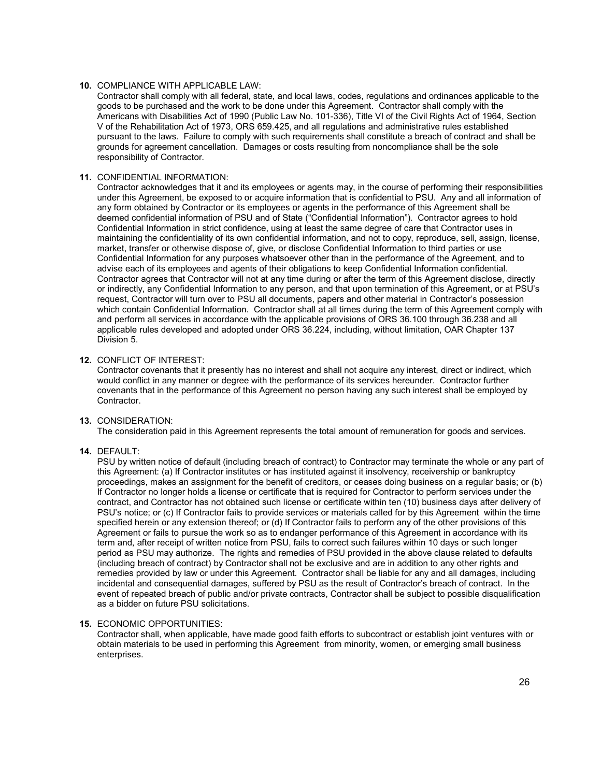#### **10.** COMPLIANCE WITH APPLICABLE LAW:

Contractor shall comply with all federal, state, and local laws, codes, regulations and ordinances applicable to the goods to be purchased and the work to be done under this Agreement. Contractor shall comply with the Americans with Disabilities Act of 1990 (Public Law No. 101-336), Title VI of the Civil Rights Act of 1964, Section V of the Rehabilitation Act of 1973, ORS 659.425, and all regulations and administrative rules established pursuant to the laws. Failure to comply with such requirements shall constitute a breach of contract and shall be grounds for agreement cancellation. Damages or costs resulting from noncompliance shall be the sole responsibility of Contractor.

#### **11.** CONFIDENTIAL INFORMATION:

Contractor acknowledges that it and its employees or agents may, in the course of performing their responsibilities under this Agreement, be exposed to or acquire information that is confidential to PSU. Any and all information of any form obtained by Contractor or its employees or agents in the performance of this Agreement shall be deemed confidential information of PSU and of State ("Confidential Information"). Contractor agrees to hold Confidential Information in strict confidence, using at least the same degree of care that Contractor uses in maintaining the confidentiality of its own confidential information, and not to copy, reproduce, sell, assign, license, market, transfer or otherwise dispose of, give, or disclose Confidential Information to third parties or use Confidential Information for any purposes whatsoever other than in the performance of the Agreement, and to advise each of its employees and agents of their obligations to keep Confidential Information confidential. Contractor agrees that Contractor will not at any time during or after the term of this Agreement disclose, directly or indirectly, any Confidential Information to any person, and that upon termination of this Agreement, or at PSU's request, Contractor will turn over to PSU all documents, papers and other material in Contractor's possession which contain Confidential Information. Contractor shall at all times during the term of this Agreement comply with and perform all services in accordance with the applicable provisions of ORS 36.100 through 36.238 and all applicable rules developed and adopted under ORS 36.224, including, without limitation, OAR Chapter 137 Division 5.

#### **12.** CONFLICT OF INTEREST:

Contractor covenants that it presently has no interest and shall not acquire any interest, direct or indirect, which would conflict in any manner or degree with the performance of its services hereunder. Contractor further covenants that in the performance of this Agreement no person having any such interest shall be employed by Contractor.

#### **13.** CONSIDERATION:

The consideration paid in this Agreement represents the total amount of remuneration for goods and services.

#### **14.** DEFAULT:

PSU by written notice of default (including breach of contract) to Contractor may terminate the whole or any part of this Agreement: (a) If Contractor institutes or has instituted against it insolvency, receivership or bankruptcy proceedings, makes an assignment for the benefit of creditors, or ceases doing business on a regular basis; or (b) If Contractor no longer holds a license or certificate that is required for Contractor to perform services under the contract, and Contractor has not obtained such license or certificate within ten (10) business days after delivery of PSU's notice; or (c) If Contractor fails to provide services or materials called for by this Agreement within the time specified herein or any extension thereof; or (d) If Contractor fails to perform any of the other provisions of this Agreement or fails to pursue the work so as to endanger performance of this Agreement in accordance with its term and, after receipt of written notice from PSU, fails to correct such failures within 10 days or such longer period as PSU may authorize. The rights and remedies of PSU provided in the above clause related to defaults (including breach of contract) by Contractor shall not be exclusive and are in addition to any other rights and remedies provided by law or under this Agreement. Contractor shall be liable for any and all damages, including incidental and consequential damages, suffered by PSU as the result of Contractor's breach of contract. In the event of repeated breach of public and/or private contracts, Contractor shall be subject to possible disqualification as a bidder on future PSU solicitations.

#### **15.** ECONOMIC OPPORTUNITIES:

Contractor shall, when applicable, have made good faith efforts to subcontract or establish joint ventures with or obtain materials to be used in performing this Agreement from minority, women, or emerging small business enterprises.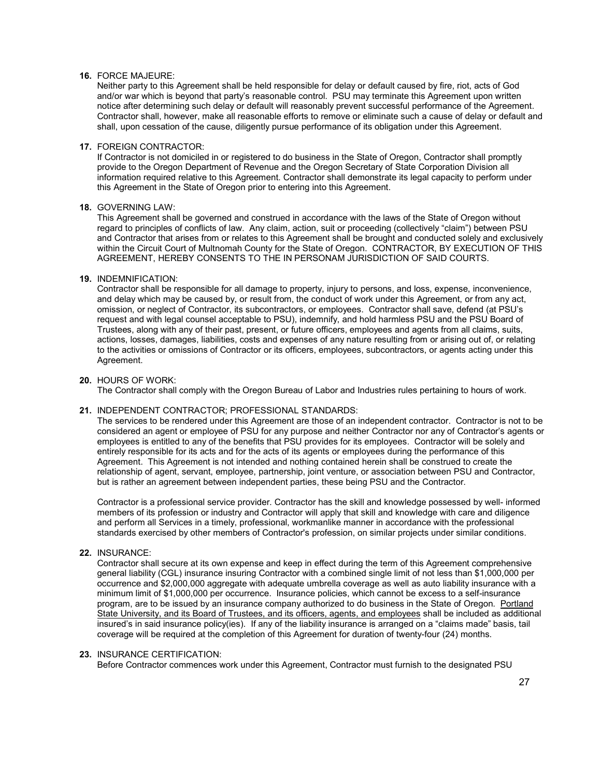#### **16.** FORCE MAJEURE:

Neither party to this Agreement shall be held responsible for delay or default caused by fire, riot, acts of God and/or war which is beyond that party's reasonable control. PSU may terminate this Agreement upon written notice after determining such delay or default will reasonably prevent successful performance of the Agreement. Contractor shall, however, make all reasonable efforts to remove or eliminate such a cause of delay or default and shall, upon cessation of the cause, diligently pursue performance of its obligation under this Agreement.

#### **17.** FOREIGN CONTRACTOR:

If Contractor is not domiciled in or registered to do business in the State of Oregon, Contractor shall promptly provide to the Oregon Department of Revenue and the Oregon Secretary of State Corporation Division all information required relative to this Agreement. Contractor shall demonstrate its legal capacity to perform under this Agreement in the State of Oregon prior to entering into this Agreement.

#### **18.** GOVERNING LAW:

This Agreement shall be governed and construed in accordance with the laws of the State of Oregon without regard to principles of conflicts of law. Any claim, action, suit or proceeding (collectively "claim") between PSU and Contractor that arises from or relates to this Agreement shall be brought and conducted solely and exclusively within the Circuit Court of Multnomah County for the State of Oregon. CONTRACTOR, BY EXECUTION OF THIS AGREEMENT, HEREBY CONSENTS TO THE IN PERSONAM JURISDICTION OF SAID COURTS.

#### **19.** INDEMNIFICATION:

Contractor shall be responsible for all damage to property, injury to persons, and loss, expense, inconvenience, and delay which may be caused by, or result from, the conduct of work under this Agreement, or from any act, omission, or neglect of Contractor, its subcontractors, or employees. Contractor shall save, defend (at PSU's request and with legal counsel acceptable to PSU), indemnify, and hold harmless PSU and the PSU Board of Trustees, along with any of their past, present, or future officers, employees and agents from all claims, suits, actions, losses, damages, liabilities, costs and expenses of any nature resulting from or arising out of, or relating to the activities or omissions of Contractor or its officers, employees, subcontractors, or agents acting under this Agreement.

#### **20.** HOURS OF WORK:

The Contractor shall comply with the Oregon Bureau of Labor and Industries rules pertaining to hours of work.

#### **21.** INDEPENDENT CONTRACTOR; PROFESSIONAL STANDARDS:

The services to be rendered under this Agreement are those of an independent contractor. Contractor is not to be considered an agent or employee of PSU for any purpose and neither Contractor nor any of Contractor's agents or employees is entitled to any of the benefits that PSU provides for its employees. Contractor will be solely and entirely responsible for its acts and for the acts of its agents or employees during the performance of this Agreement. This Agreement is not intended and nothing contained herein shall be construed to create the relationship of agent, servant, employee, partnership, joint venture, or association between PSU and Contractor, but is rather an agreement between independent parties, these being PSU and the Contractor.

Contractor is a professional service provider. Contractor has the skill and knowledge possessed by well- informed members of its profession or industry and Contractor will apply that skill and knowledge with care and diligence and perform all Services in a timely, professional, workmanlike manner in accordance with the professional standards exercised by other members of Contractor's profession, on similar projects under similar conditions.

#### **22.** INSURANCE:

Contractor shall secure at its own expense and keep in effect during the term of this Agreement comprehensive general liability (CGL) insurance insuring Contractor with a combined single limit of not less than \$1,000,000 per occurrence and \$2,000,000 aggregate with adequate umbrella coverage as well as auto liability insurance with a minimum limit of \$1,000,000 per occurrence. Insurance policies, which cannot be excess to a self-insurance program, are to be issued by an insurance company authorized to do business in the State of Oregon. Portland State University, and its Board of Trustees, and its officers, agents, and employees shall be included as additional insured's in said insurance policy(ies). If any of the liability insurance is arranged on a "claims made" basis, tail coverage will be required at the completion of this Agreement for duration of twenty-four (24) months.

#### **23.** INSURANCE CERTIFICATION:

Before Contractor commences work under this Agreement, Contractor must furnish to the designated PSU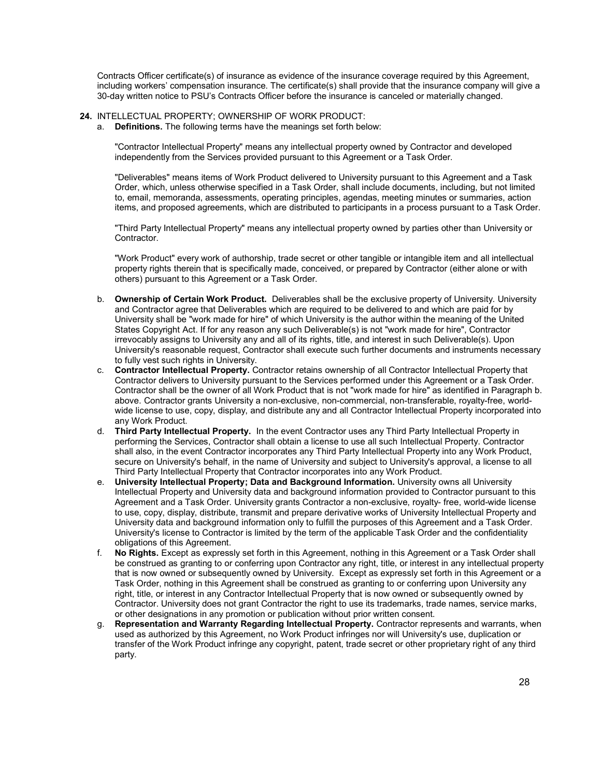Contracts Officer certificate(s) of insurance as evidence of the insurance coverage required by this Agreement, including workers' compensation insurance. The certificate(s) shall provide that the insurance company will give a 30-day written notice to PSU's Contracts Officer before the insurance is canceled or materially changed.

#### **24.** INTELLECTUAL PROPERTY; OWNERSHIP OF WORK PRODUCT:

a. **Definitions.** The following terms have the meanings set forth below:

"Contractor Intellectual Property" means any intellectual property owned by Contractor and developed independently from the Services provided pursuant to this Agreement or a Task Order.

"Deliverables" means items of Work Product delivered to University pursuant to this Agreement and a Task Order, which, unless otherwise specified in a Task Order, shall include documents, including, but not limited to, email, memoranda, assessments, operating principles, agendas, meeting minutes or summaries, action items, and proposed agreements, which are distributed to participants in a process pursuant to a Task Order.

"Third Party Intellectual Property" means any intellectual property owned by parties other than University or Contractor.

"Work Product" every work of authorship, trade secret or other tangible or intangible item and all intellectual property rights therein that is specifically made, conceived, or prepared by Contractor (either alone or with others) pursuant to this Agreement or a Task Order.

- b. **Ownership of Certain Work Product.** Deliverables shall be the exclusive property of University. University and Contractor agree that Deliverables which are required to be delivered to and which are paid for by University shall be "work made for hire" of which University is the author within the meaning of the United States Copyright Act. If for any reason any such Deliverable(s) is not "work made for hire", Contractor irrevocably assigns to University any and all of its rights, title, and interest in such Deliverable(s). Upon University's reasonable request, Contractor shall execute such further documents and instruments necessary to fully vest such rights in University.
- c. **Contractor Intellectual Property.** Contractor retains ownership of all Contractor Intellectual Property that Contractor delivers to University pursuant to the Services performed under this Agreement or a Task Order. Contractor shall be the owner of all Work Product that is not "work made for hire" as identified in Paragraph b. above. Contractor grants University a non-exclusive, non-commercial, non-transferable, royalty-free, worldwide license to use, copy, display, and distribute any and all Contractor Intellectual Property incorporated into any Work Product.
- d. **Third Party Intellectual Property.** In the event Contractor uses any Third Party Intellectual Property in performing the Services, Contractor shall obtain a license to use all such Intellectual Property. Contractor shall also, in the event Contractor incorporates any Third Party Intellectual Property into any Work Product, secure on University's behalf, in the name of University and subject to University's approval, a license to all Third Party Intellectual Property that Contractor incorporates into any Work Product.
- e. **University Intellectual Property; Data and Background Information.** University owns all University Intellectual Property and University data and background information provided to Contractor pursuant to this Agreement and a Task Order. University grants Contractor a non-exclusive, royalty- free, world-wide license to use, copy, display, distribute, transmit and prepare derivative works of University Intellectual Property and University data and background information only to fulfill the purposes of this Agreement and a Task Order. University's license to Contractor is limited by the term of the applicable Task Order and the confidentiality obligations of this Agreement.
- f. **No Rights.** Except as expressly set forth in this Agreement, nothing in this Agreement or a Task Order shall be construed as granting to or conferring upon Contractor any right, title, or interest in any intellectual property that is now owned or subsequently owned by University. Except as expressly set forth in this Agreement or a Task Order, nothing in this Agreement shall be construed as granting to or conferring upon University any right, title, or interest in any Contractor Intellectual Property that is now owned or subsequently owned by Contractor. University does not grant Contractor the right to use its trademarks, trade names, service marks, or other designations in any promotion or publication without prior written consent.
- g. **Representation and Warranty Regarding Intellectual Property.** Contractor represents and warrants, when used as authorized by this Agreement, no Work Product infringes nor will University's use, duplication or transfer of the Work Product infringe any copyright, patent, trade secret or other proprietary right of any third party.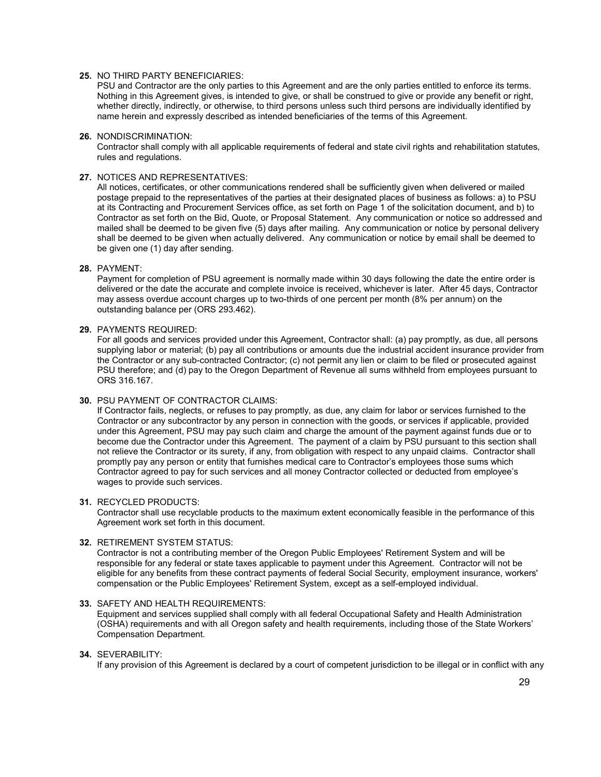#### **25.** NO THIRD PARTY BENEFICIARIES:

PSU and Contractor are the only parties to this Agreement and are the only parties entitled to enforce its terms. Nothing in this Agreement gives, is intended to give, or shall be construed to give or provide any benefit or right, whether directly, indirectly, or otherwise, to third persons unless such third persons are individually identified by name herein and expressly described as intended beneficiaries of the terms of this Agreement.

#### **26.** NONDISCRIMINATION:

Contractor shall comply with all applicable requirements of federal and state civil rights and rehabilitation statutes, rules and regulations.

#### **27.** NOTICES AND REPRESENTATIVES:

All notices, certificates, or other communications rendered shall be sufficiently given when delivered or mailed postage prepaid to the representatives of the parties at their designated places of business as follows: a) to PSU at its Contracting and Procurement Services office, as set forth on Page 1 of the solicitation document, and b) to Contractor as set forth on the Bid, Quote, or Proposal Statement. Any communication or notice so addressed and mailed shall be deemed to be given five (5) days after mailing. Any communication or notice by personal delivery shall be deemed to be given when actually delivered. Any communication or notice by email shall be deemed to be given one (1) day after sending.

#### **28.** PAYMENT:

Payment for completion of PSU agreement is normally made within 30 days following the date the entire order is delivered or the date the accurate and complete invoice is received, whichever is later. After 45 days, Contractor may assess overdue account charges up to two-thirds of one percent per month (8% per annum) on the outstanding balance per (ORS 293.462).

#### **29.** PAYMENTS REQUIRED:

For all goods and services provided under this Agreement, Contractor shall: (a) pay promptly, as due, all persons supplying labor or material; (b) pay all contributions or amounts due the industrial accident insurance provider from the Contractor or any sub-contracted Contractor; (c) not permit any lien or claim to be filed or prosecuted against PSU therefore; and (d) pay to the Oregon Department of Revenue all sums withheld from employees pursuant to ORS 316.167.

#### **30.** PSU PAYMENT OF CONTRACTOR CLAIMS:

If Contractor fails, neglects, or refuses to pay promptly, as due, any claim for labor or services furnished to the Contractor or any subcontractor by any person in connection with the goods, or services if applicable, provided under this Agreement, PSU may pay such claim and charge the amount of the payment against funds due or to become due the Contractor under this Agreement. The payment of a claim by PSU pursuant to this section shall not relieve the Contractor or its surety, if any, from obligation with respect to any unpaid claims. Contractor shall promptly pay any person or entity that furnishes medical care to Contractor's employees those sums which Contractor agreed to pay for such services and all money Contractor collected or deducted from employee's wages to provide such services.

#### **31.** RECYCLED PRODUCTS:

Contractor shall use recyclable products to the maximum extent economically feasible in the performance of this Agreement work set forth in this document.

#### **32.** RETIREMENT SYSTEM STATUS:

Contractor is not a contributing member of the Oregon Public Employees' Retirement System and will be responsible for any federal or state taxes applicable to payment under this Agreement. Contractor will not be eligible for any benefits from these contract payments of federal Social Security, employment insurance, workers' compensation or the Public Employees' Retirement System, except as a self-employed individual.

#### **33.** SAFETY AND HEALTH REQUIREMENTS:

Equipment and services supplied shall comply with all federal Occupational Safety and Health Administration (OSHA) requirements and with all Oregon safety and health requirements, including those of the State Workers' Compensation Department.

#### **34.** SEVERABILITY:

If any provision of this Agreement is declared by a court of competent jurisdiction to be illegal or in conflict with any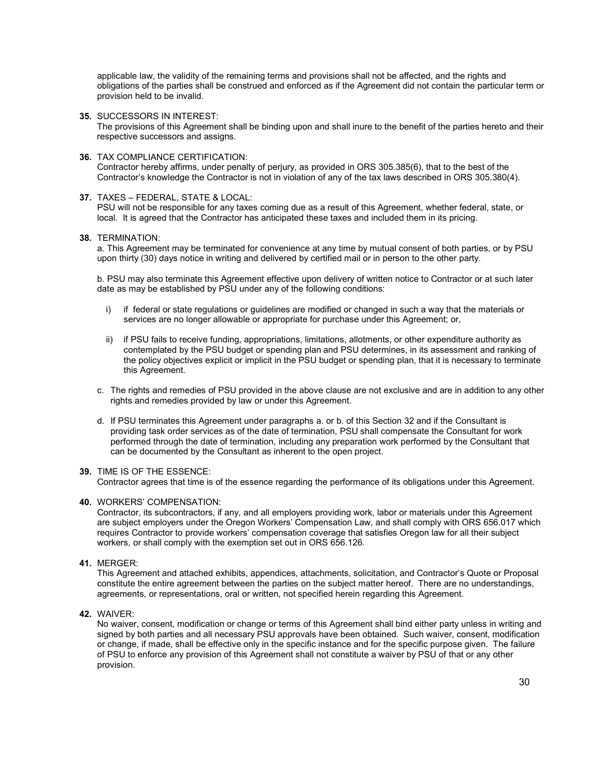applicable law, the validity of the remaining terms and provisions shall not be affected, and the rights and obligations of the parties shall be construed and enforced as if the Agreement did not contain the particular term or provision held to be invalid.

**35.** SUCCESSORS IN INTEREST:

The provisions of this Agreement shall be binding upon and shall inure to the benefit of the parties hereto and their respective successors and assigns.

#### **36.** TAX COMPLIANCE CERTIFICATION:

Contractor hereby affirms, under penalty of perjury, as provided in ORS 305.385(6), that to the best of the Contractor's knowledge the Contractor is not in violation of any of the tax laws described in ORS 305.380(4).

#### **37.** TAXES – FEDERAL, STATE & LOCAL:

PSU will not be responsible for any taxes coming due as a result of this Agreement, whether federal, state, or local. It is agreed that the Contractor has anticipated these taxes and included them in its pricing.

#### **38.** TERMINATION:

a. This Agreement may be terminated for convenience at any time by mutual consent of both parties, or by PSU upon thirty (30) days notice in writing and delivered by certified mail or in person to the other party.

b. PSU may also terminate this Agreement effective upon delivery of written notice to Contractor or at such later date as may be established by PSU under any of the following conditions:

- i) if federal or state regulations or guidelines are modified or changed in such a way that the materials or services are no longer allowable or appropriate for purchase under this Agreement; or,
- ii) if PSU fails to receive funding, appropriations, limitations, allotments, or other expenditure authority as contemplated by the PSU budget or spending plan and PSU determines, in its assessment and ranking of the policy objectives explicit or implicit in the PSU budget or spending plan, that it is necessary to terminate this Agreement.
- c. The rights and remedies of PSU provided in the above clause are not exclusive and are in addition to any other rights and remedies provided by law or under this Agreement.
- d. If PSU terminates this Agreement under paragraphs a. or b. of this Section 32 and if the Consultant is providing task order services as of the date of termination, PSU shall compensate the Consultant for work performed through the date of termination, including any preparation work performed by the Consultant that can be documented by the Consultant as inherent to the open project.

#### **39.** TIME IS OF THE ESSENCE:

Contractor agrees that time is of the essence regarding the performance of its obligations under this Agreement.

#### **40.** WORKERS' COMPENSATION:

Contractor, its subcontractors, if any, and all employers providing work, labor or materials under this Agreement are subject employers under the Oregon Workers' Compensation Law, and shall comply with ORS 656.017 which requires Contractor to provide workers' compensation coverage that satisfies Oregon law for all their subject workers, or shall comply with the exemption set out in ORS 656.126.

#### **41.** MERGER:

This Agreement and attached exhibits, appendices, attachments, solicitation, and Contractor's Quote or Proposal constitute the entire agreement between the parties on the subject matter hereof. There are no understandings, agreements, or representations, oral or written, not specified herein regarding this Agreement.

**42.** WAIVER:

No waiver, consent, modification or change or terms of this Agreement shall bind either party unless in writing and signed by both parties and all necessary PSU approvals have been obtained. Such waiver, consent, modification or change, if made, shall be effective only in the specific instance and for the specific purpose given. The failure of PSU to enforce any provision of this Agreement shall not constitute a waiver by PSU of that or any other provision.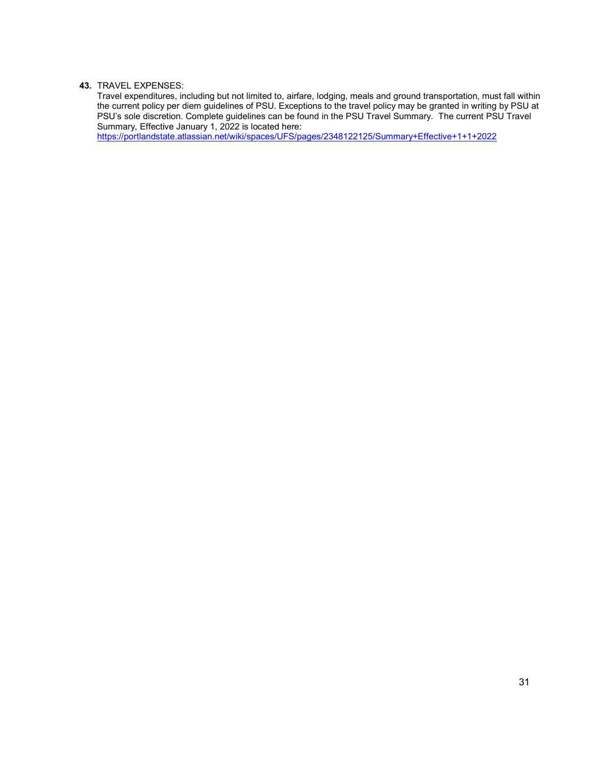#### **43.** TRAVEL EXPENSES:

Travel expenditures, including but not limited to, airfare, lodging, meals and ground transportation, must fall within the current policy per diem guidelines of PSU. Exceptions to the travel policy may be granted in writing by PSU at PSU's sole discretion. Complete guidelines can be found in the PSU Travel Summary. The current PSU Travel Summary, Effective January 1, 2022 is located here:

<https://portlandstate.atlassian.net/wiki/spaces/UFS/pages/2348122125/Summary+Effective+1+1+2022>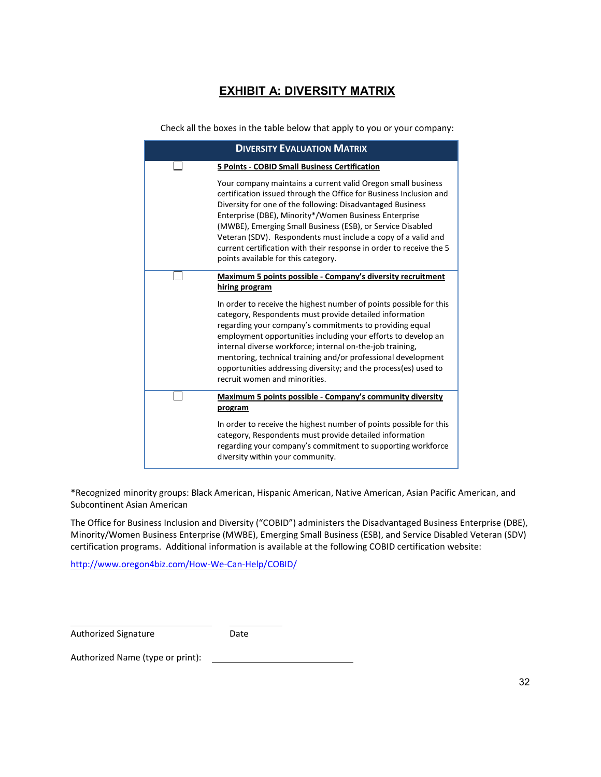# **EXHIBIT A: DIVERSITY MATRIX**

Check all the boxes in the table below that apply to you or your company:

| <b>DIVERSITY EVALUATION MATRIX</b> |                                                                                                                                                                                                                                                                                                                                                                                                                                                                                                        |
|------------------------------------|--------------------------------------------------------------------------------------------------------------------------------------------------------------------------------------------------------------------------------------------------------------------------------------------------------------------------------------------------------------------------------------------------------------------------------------------------------------------------------------------------------|
|                                    | 5 Points - COBID Small Business Certification                                                                                                                                                                                                                                                                                                                                                                                                                                                          |
|                                    | Your company maintains a current valid Oregon small business<br>certification issued through the Office for Business Inclusion and<br>Diversity for one of the following: Disadvantaged Business<br>Enterprise (DBE), Minority*/Women Business Enterprise<br>(MWBE), Emerging Small Business (ESB), or Service Disabled<br>Veteran (SDV). Respondents must include a copy of a valid and<br>current certification with their response in order to receive the 5<br>points available for this category. |
|                                    | Maximum 5 points possible - Company's diversity recruitment<br>hiring program                                                                                                                                                                                                                                                                                                                                                                                                                          |
|                                    | In order to receive the highest number of points possible for this<br>category, Respondents must provide detailed information<br>regarding your company's commitments to providing equal<br>employment opportunities including your efforts to develop an<br>internal diverse workforce; internal on-the-job training,<br>mentoring, technical training and/or professional development<br>opportunities addressing diversity; and the process(es) used to<br>recruit women and minorities.            |
|                                    | Maximum 5 points possible - Company's community diversity<br>program                                                                                                                                                                                                                                                                                                                                                                                                                                   |
|                                    | In order to receive the highest number of points possible for this<br>category, Respondents must provide detailed information<br>regarding your company's commitment to supporting workforce<br>diversity within your community.                                                                                                                                                                                                                                                                       |

\*Recognized minority groups: Black American, Hispanic American, Native American, Asian Pacific American, and Subcontinent Asian American

The Office for Business Inclusion and Diversity ("COBID") administers the Disadvantaged Business Enterprise (DBE), Minority/Women Business Enterprise (MWBE), Emerging Small Business (ESB), and Service Disabled Veteran (SDV) certification programs. Additional information is available at the following COBID certification website:

<http://www.oregon4biz.com/How-We-Can-Help/COBID/>

Authorized Signature **Date** 

Authorized Name (type or print):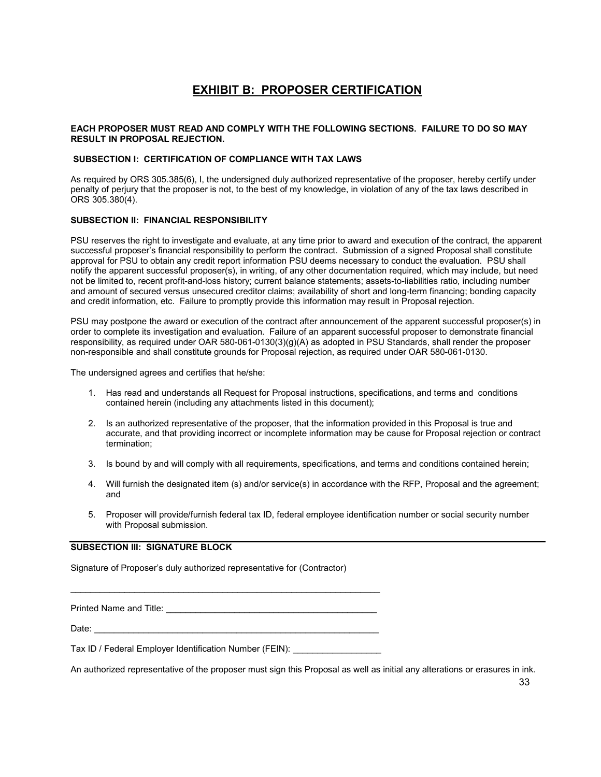## **EXHIBIT B: PROPOSER CERTIFICATION**

#### **EACH PROPOSER MUST READ AND COMPLY WITH THE FOLLOWING SECTIONS. FAILURE TO DO SO MAY RESULT IN PROPOSAL REJECTION.**

#### **SUBSECTION I: CERTIFICATION OF COMPLIANCE WITH TAX LAWS**

As required by ORS 305.385(6), I, the undersigned duly authorized representative of the proposer, hereby certify under penalty of perjury that the proposer is not, to the best of my knowledge, in violation of any of the tax laws described in ORS 305.380(4).

#### **SUBSECTION II: FINANCIAL RESPONSIBILITY**

PSU reserves the right to investigate and evaluate, at any time prior to award and execution of the contract, the apparent successful proposer's financial responsibility to perform the contract. Submission of a signed Proposal shall constitute approval for PSU to obtain any credit report information PSU deems necessary to conduct the evaluation. PSU shall notify the apparent successful proposer(s), in writing, of any other documentation required, which may include, but need not be limited to, recent profit-and-loss history; current balance statements; assets-to-liabilities ratio, including number and amount of secured versus unsecured creditor claims; availability of short and long-term financing; bonding capacity and credit information, etc. Failure to promptly provide this information may result in Proposal rejection.

PSU may postpone the award or execution of the contract after announcement of the apparent successful proposer(s) in order to complete its investigation and evaluation. Failure of an apparent successful proposer to demonstrate financial responsibility, as required under OAR 580-061-0130(3)(g)(A) as adopted in PSU Standards, shall render the proposer non-responsible and shall constitute grounds for Proposal rejection, as required under OAR 580-061-0130.

The undersigned agrees and certifies that he/she:

- 1. Has read and understands all Request for Proposal instructions, specifications, and terms and conditions contained herein (including any attachments listed in this document);
- 2. Is an authorized representative of the proposer, that the information provided in this Proposal is true and accurate, and that providing incorrect or incomplete information may be cause for Proposal rejection or contract termination;
- 3. Is bound by and will comply with all requirements, specifications, and terms and conditions contained herein;
- 4. Will furnish the designated item (s) and/or service(s) in accordance with the RFP, Proposal and the agreement; and
- 5. Proposer will provide/furnish federal tax ID, federal employee identification number or social security number with Proposal submission.

#### **SUBSECTION III: SIGNATURE BLOCK**

Signature of Proposer's duly authorized representative for (Contractor)

Printed Name and Title: \_\_\_\_\_\_\_\_\_\_\_\_\_\_\_\_\_\_\_\_\_\_\_\_\_\_\_\_\_\_\_\_\_\_\_\_\_\_\_\_\_\_\_

\_\_\_\_\_\_\_\_\_\_\_\_\_\_\_\_\_\_\_\_\_\_\_\_\_\_\_\_\_\_\_\_\_\_\_\_\_\_\_\_\_\_\_\_\_\_\_\_\_\_\_\_\_\_\_\_\_\_\_\_\_\_\_

Date: \_\_\_\_\_\_\_\_\_\_\_\_\_\_\_\_\_\_\_\_\_\_\_\_\_\_\_\_\_\_\_\_\_\_\_\_\_\_\_\_\_\_\_\_\_\_\_\_\_\_\_\_\_\_\_\_\_\_

Tax ID / Federal Employer Identification Number (FEIN):

An authorized representative of the proposer must sign this Proposal as well as initial any alterations or erasures in ink.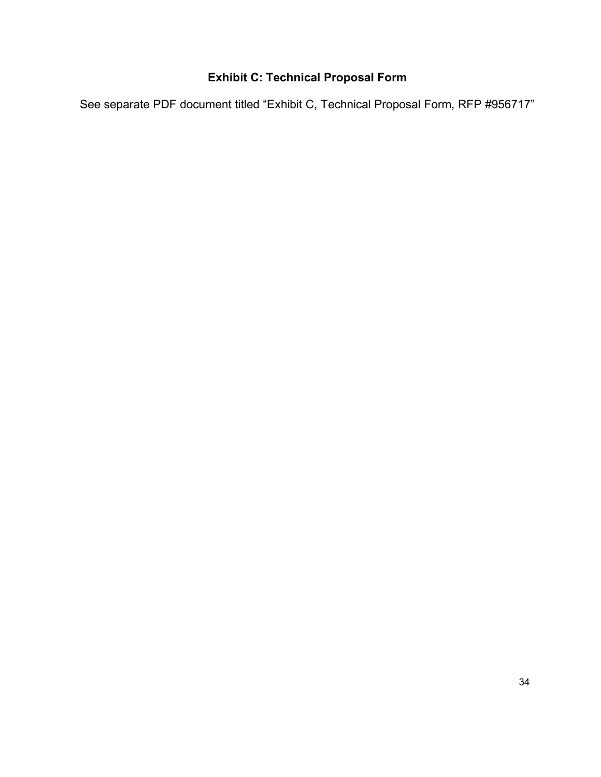# **Exhibit C: Technical Proposal Form**

See separate PDF document titled "Exhibit C, Technical Proposal Form, RFP #956717"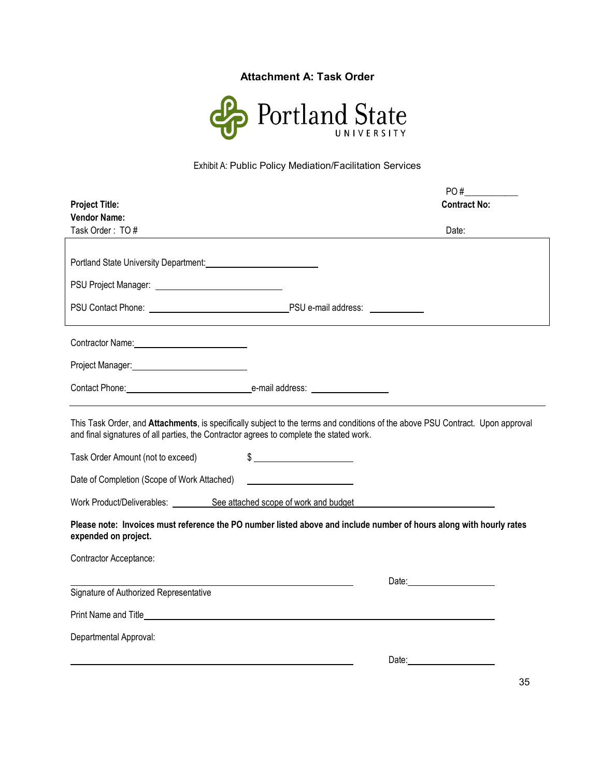## **Attachment A: Task Order**



# Exhibit A: Public Policy Mediation/Facilitation Services

|                                                                                                              | PO#                                                                                                                                                                                                                                                                                                                                                                 |
|--------------------------------------------------------------------------------------------------------------|---------------------------------------------------------------------------------------------------------------------------------------------------------------------------------------------------------------------------------------------------------------------------------------------------------------------------------------------------------------------|
| <b>Project Title:</b>                                                                                        | <b>Contract No:</b>                                                                                                                                                                                                                                                                                                                                                 |
| <b>Vendor Name:</b>                                                                                          |                                                                                                                                                                                                                                                                                                                                                                     |
| Task Order: TO#                                                                                              | Date:                                                                                                                                                                                                                                                                                                                                                               |
|                                                                                                              |                                                                                                                                                                                                                                                                                                                                                                     |
|                                                                                                              |                                                                                                                                                                                                                                                                                                                                                                     |
| PSU Project Manager: National PSU Project Manager:                                                           |                                                                                                                                                                                                                                                                                                                                                                     |
| PSU Contact Phone: Note and Society And The PSU e-mail address: Note and Society And The PSU e-mail address: |                                                                                                                                                                                                                                                                                                                                                                     |
|                                                                                                              |                                                                                                                                                                                                                                                                                                                                                                     |
|                                                                                                              |                                                                                                                                                                                                                                                                                                                                                                     |
|                                                                                                              |                                                                                                                                                                                                                                                                                                                                                                     |
| Project Manager:<br><u>Project Manager:</u>                                                                  |                                                                                                                                                                                                                                                                                                                                                                     |
| Contact Phone: enail address: enail address:                                                                 |                                                                                                                                                                                                                                                                                                                                                                     |
|                                                                                                              |                                                                                                                                                                                                                                                                                                                                                                     |
| and final signatures of all parties, the Contractor agrees to complete the stated work.                      | This Task Order, and Attachments, is specifically subject to the terms and conditions of the above PSU Contract. Upon approval                                                                                                                                                                                                                                      |
| Task Order Amount (not to exceed)                                                                            | $\begin{picture}(20,10) \put(0,0){\vector(1,0){100}} \put(15,0){\vector(1,0){100}} \put(15,0){\vector(1,0){100}} \put(15,0){\vector(1,0){100}} \put(15,0){\vector(1,0){100}} \put(15,0){\vector(1,0){100}} \put(15,0){\vector(1,0){100}} \put(15,0){\vector(1,0){100}} \put(15,0){\vector(1,0){100}} \put(15,0){\vector(1,0){100}} \put(15,0){\vector(1,0){100}} \$ |
| Date of Completion (Scope of Work Attached)                                                                  |                                                                                                                                                                                                                                                                                                                                                                     |
| Work Product/Deliverables: See attached scope of work and budget                                             |                                                                                                                                                                                                                                                                                                                                                                     |
| expended on project.                                                                                         | Please note: Invoices must reference the PO number listed above and include number of hours along with hourly rates                                                                                                                                                                                                                                                 |
| <b>Contractor Acceptance:</b>                                                                                |                                                                                                                                                                                                                                                                                                                                                                     |
|                                                                                                              | Date: <u>Date:</u>                                                                                                                                                                                                                                                                                                                                                  |
| Signature of Authorized Representative                                                                       |                                                                                                                                                                                                                                                                                                                                                                     |
|                                                                                                              |                                                                                                                                                                                                                                                                                                                                                                     |
| Departmental Approval:                                                                                       |                                                                                                                                                                                                                                                                                                                                                                     |
|                                                                                                              |                                                                                                                                                                                                                                                                                                                                                                     |
|                                                                                                              | Date: the contract of the contract of the contract of the contract of the contract of the contract of the contract of the contract of the contract of the contract of the contract of the contract of the contract of the cont                                                                                                                                      |

35